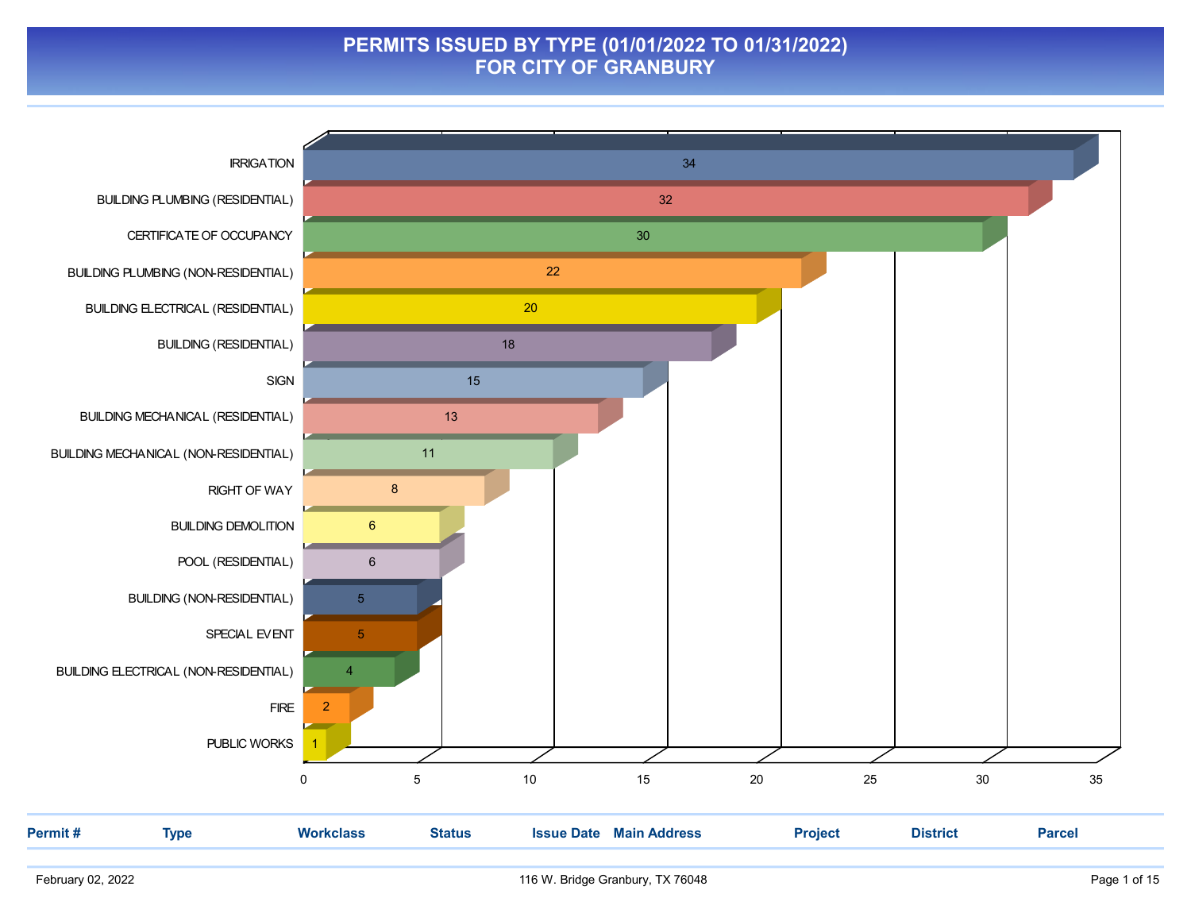#### PERMITS ISSUED BY TYPE (01/01/2022 TO 01/31/2022) FOR CITY OF GRANBURY

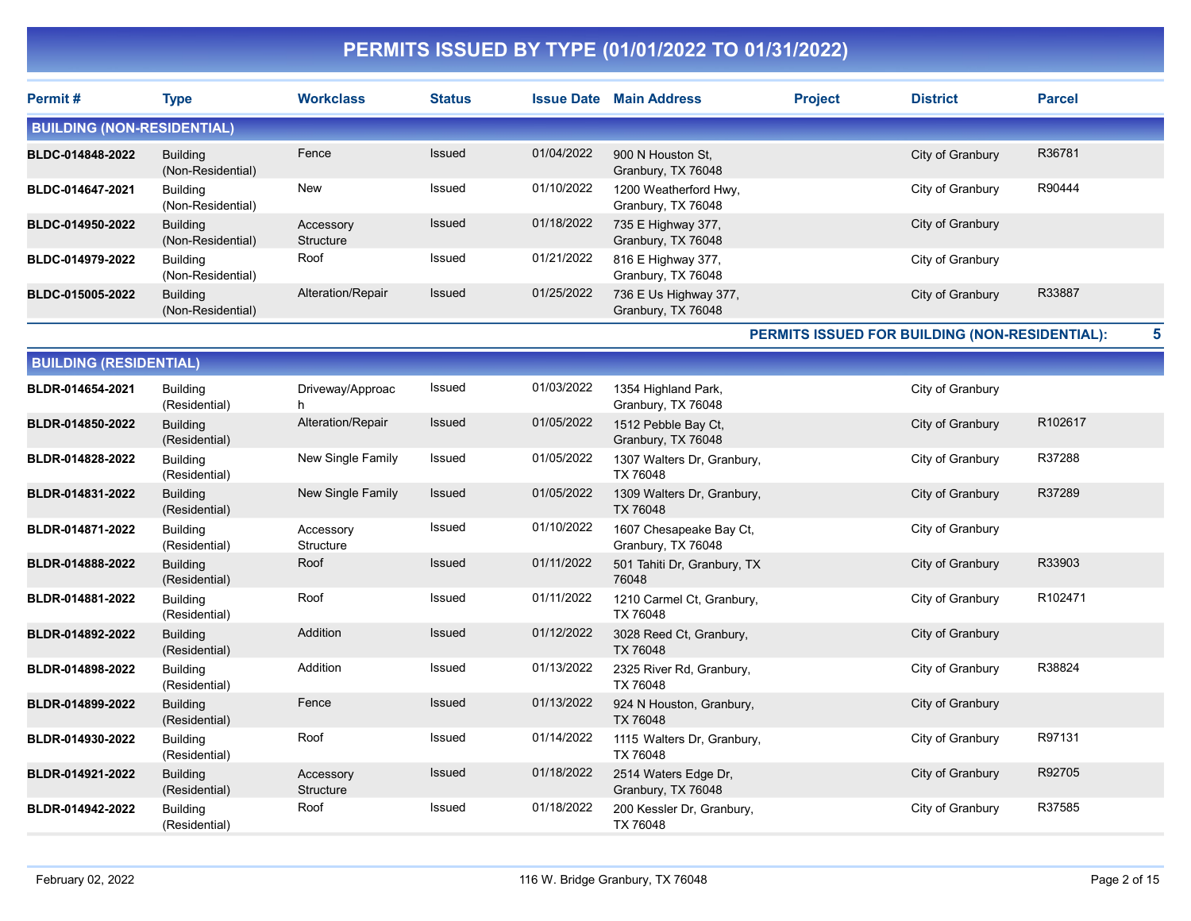| Permit#                           | <b>Type</b>                          | <b>Workclass</b>       | <b>Status</b> |            | <b>Issue Date Main Address</b>                | <b>Project</b> | <b>District</b>                                | <b>Parcel</b> |
|-----------------------------------|--------------------------------------|------------------------|---------------|------------|-----------------------------------------------|----------------|------------------------------------------------|---------------|
| <b>BUILDING (NON-RESIDENTIAL)</b> |                                      |                        |               |            |                                               |                |                                                |               |
| BLDC-014848-2022                  | <b>Building</b><br>(Non-Residential) | Fence                  | Issued        | 01/04/2022 | 900 N Houston St.<br>Granbury, TX 76048       |                | City of Granbury                               | R36781        |
| BLDC-014647-2021                  | <b>Building</b><br>(Non-Residential) | New                    | Issued        | 01/10/2022 | 1200 Weatherford Hwy,<br>Granbury, TX 76048   |                | City of Granbury                               | R90444        |
| BLDC-014950-2022                  | <b>Building</b><br>(Non-Residential) | Accessory<br>Structure | Issued        | 01/18/2022 | 735 E Highway 377,<br>Granbury, TX 76048      |                | City of Granbury                               |               |
| <b>BLDC-014979-2022</b>           | <b>Building</b><br>(Non-Residential) | Roof                   | Issued        | 01/21/2022 | 816 E Highway 377,<br>Granbury, TX 76048      |                | City of Granbury                               |               |
| <b>BLDC-015005-2022</b>           | <b>Building</b><br>(Non-Residential) | Alteration/Repair      | Issued        | 01/25/2022 | 736 E Us Highway 377,<br>Granbury, TX 76048   |                | City of Granbury                               | R33887        |
|                                   |                                      |                        |               |            |                                               |                | PERMITS ISSUED FOR BUILDING (NON-RESIDENTIAL): | 5             |
| <b>BUILDING (RESIDENTIAL)</b>     |                                      |                        |               |            |                                               |                |                                                |               |
| BLDR-014654-2021                  | <b>Building</b><br>(Residential)     | Driveway/Approac<br>h. | Issued        | 01/03/2022 | 1354 Highland Park,<br>Granbury, TX 76048     |                | City of Granbury                               |               |
| BLDR-014850-2022                  | <b>Building</b><br>(Residential)     | Alteration/Repair      | Issued        | 01/05/2022 | 1512 Pebble Bay Ct,<br>Granbury, TX 76048     |                | City of Granbury                               | R102617       |
| BLDR-014828-2022                  | <b>Building</b><br>(Residential)     | New Single Family      | Issued        | 01/05/2022 | 1307 Walters Dr, Granbury,<br>TX 76048        |                | City of Granbury                               | R37288        |
| BLDR-014831-2022                  | <b>Building</b><br>(Residential)     | New Single Family      | Issued        | 01/05/2022 | 1309 Walters Dr, Granbury,<br>TX 76048        |                | City of Granbury                               | R37289        |
| BLDR-014871-2022                  | <b>Building</b><br>(Residential)     | Accessory<br>Structure | Issued        | 01/10/2022 | 1607 Chesapeake Bay Ct,<br>Granbury, TX 76048 |                | City of Granbury                               |               |
| BLDR-014888-2022                  | <b>Building</b><br>(Residential)     | Roof                   | Issued        | 01/11/2022 | 501 Tahiti Dr, Granbury, TX<br>76048          |                | City of Granbury                               | R33903        |
| BLDR-014881-2022                  | <b>Building</b><br>(Residential)     | Roof                   | Issued        | 01/11/2022 | 1210 Carmel Ct, Granbury,<br><b>TX 76048</b>  |                | City of Granbury                               | R102471       |
| BLDR-014892-2022                  | <b>Building</b><br>(Residential)     | Addition               | Issued        | 01/12/2022 | 3028 Reed Ct, Granbury,<br><b>TX 76048</b>    |                | City of Granbury                               |               |
| BLDR-014898-2022                  | <b>Building</b><br>(Residential)     | Addition               | Issued        | 01/13/2022 | 2325 River Rd, Granbury,<br>TX 76048          |                | City of Granbury                               | R38824        |
| BLDR-014899-2022                  | <b>Building</b><br>(Residential)     | Fence                  | Issued        | 01/13/2022 | 924 N Houston, Granbury,<br><b>TX 76048</b>   |                | City of Granbury                               |               |
| BLDR-014930-2022                  | <b>Building</b><br>(Residential)     | Roof                   | Issued        | 01/14/2022 | 1115 Walters Dr, Granbury,<br>TX 76048        |                | City of Granbury                               | R97131        |
| BLDR-014921-2022                  | <b>Building</b><br>(Residential)     | Accessory<br>Structure | Issued        | 01/18/2022 | 2514 Waters Edge Dr,<br>Granbury, TX 76048    |                | City of Granbury                               | R92705        |
| BLDR-014942-2022                  | <b>Building</b><br>(Residential)     | Roof                   | Issued        | 01/18/2022 | 200 Kessler Dr, Granbury,<br><b>TX 76048</b>  |                | City of Granbury                               | R37585        |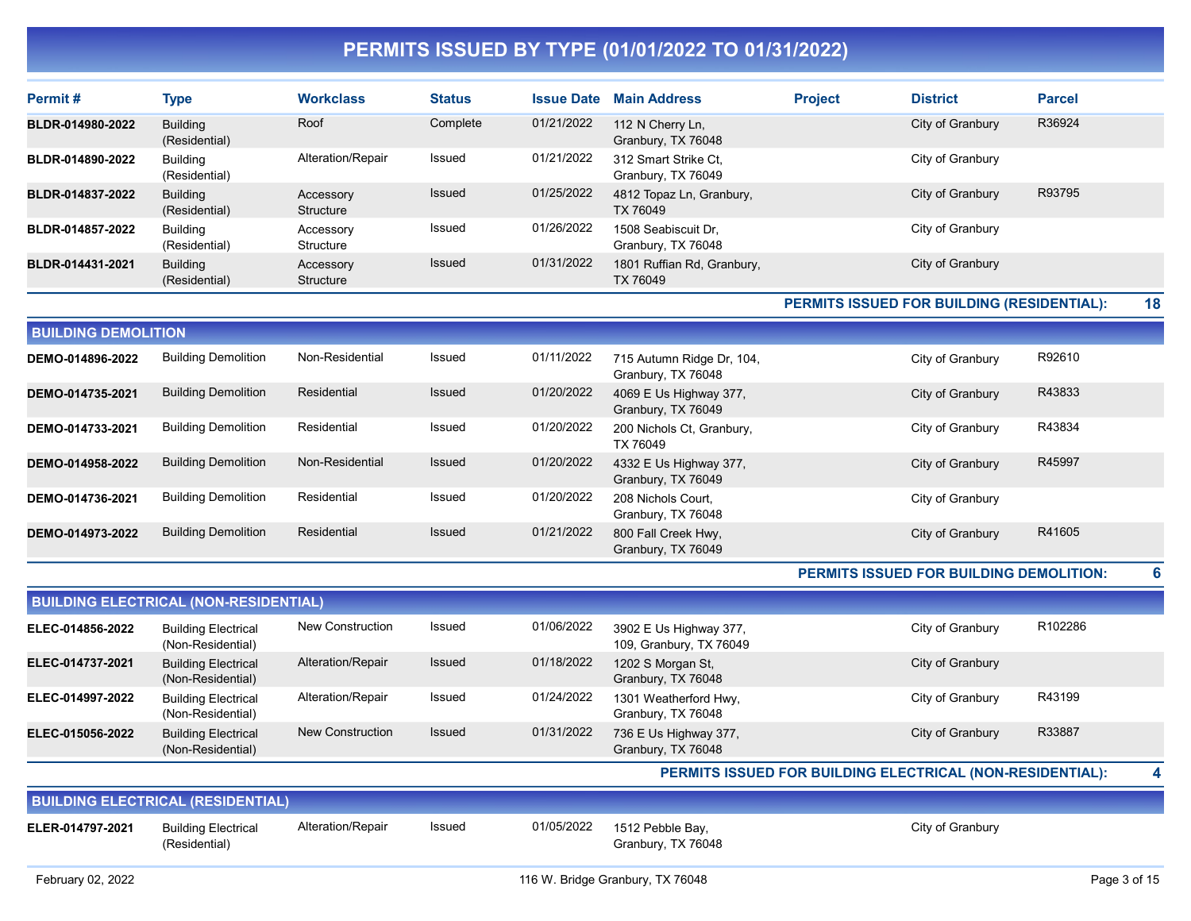| Permit#          | <b>Type</b>                      | <b>Workclass</b>       | <b>Status</b> | <b>Issue Date</b> | <b>Main Address</b>                        | <b>Project</b> | <b>District</b>  | <b>Parcel</b> |
|------------------|----------------------------------|------------------------|---------------|-------------------|--------------------------------------------|----------------|------------------|---------------|
| BLDR-014980-2022 | <b>Building</b><br>(Residential) | Roof                   | Complete      | 01/21/2022        | 112 N Cherry Ln,<br>Granbury, TX 76048     |                | City of Granbury | R36924        |
| BLDR-014890-2022 | Building<br>(Residential)        | Alteration/Repair      | Issued        | 01/21/2022        | 312 Smart Strike Ct.<br>Granbury, TX 76049 |                | City of Granbury |               |
| BLDR-014837-2022 | <b>Building</b><br>(Residential) | Accessory<br>Structure | Issued        | 01/25/2022        | 4812 Topaz Ln, Granbury,<br>TX 76049       |                | City of Granbury | R93795        |
| BLDR-014857-2022 | Building<br>(Residential)        | Accessory<br>Structure | Issued        | 01/26/2022        | 1508 Seabiscuit Dr.<br>Granbury, TX 76048  |                | City of Granbury |               |
| BLDR-014431-2021 | <b>Building</b><br>(Residential) | Accessory<br>Structure | Issued        | 01/31/2022        | 1801 Ruffian Rd, Granbury,<br>TX 76049     |                | City of Granbury |               |

#### PERMITS ISSUED FOR BUILDING (RESIDENTIAL): 18

| <b>Building Demolition</b><br>R92610<br>Non-Residential<br>01/11/2022<br>Issued<br>DEMO-014896-2022<br>715 Autumn Ridge Dr, 104,<br>City of Granbury<br>Granbury, TX 76048<br>Residential<br>Issued<br>R43833<br><b>Building Demolition</b><br>01/20/2022<br>4069 E Us Highway 377,<br>City of Granbury<br>DEMO-014735-2021<br>Granbury, TX 76049 | <b>BUILDING DEMOLITION</b> |  |  |  |  |  |  |  |  |  |  |  |
|---------------------------------------------------------------------------------------------------------------------------------------------------------------------------------------------------------------------------------------------------------------------------------------------------------------------------------------------------|----------------------------|--|--|--|--|--|--|--|--|--|--|--|
|                                                                                                                                                                                                                                                                                                                                                   |                            |  |  |  |  |  |  |  |  |  |  |  |
|                                                                                                                                                                                                                                                                                                                                                   |                            |  |  |  |  |  |  |  |  |  |  |  |
| <b>Building Demolition</b><br>R43834<br>Residential<br>01/20/2022<br>Issued<br>City of Granbury<br>200 Nichols Ct, Granbury,<br>DEMO-014733-2021<br>TX 76049                                                                                                                                                                                      |                            |  |  |  |  |  |  |  |  |  |  |  |
| 01/20/2022<br>R45997<br><b>Building Demolition</b><br>Non-Residential<br>Issued<br>City of Granbury<br>4332 E Us Highway 377,<br>DEMO-014958-2022<br>Granbury, TX 76049                                                                                                                                                                           |                            |  |  |  |  |  |  |  |  |  |  |  |
| <b>Building Demolition</b><br>Residential<br>01/20/2022<br>Issued<br>208 Nichols Court,<br>City of Granbury<br>DEMO-014736-2021<br>Granbury, TX 76048                                                                                                                                                                                             |                            |  |  |  |  |  |  |  |  |  |  |  |
| Residential<br>01/21/2022<br>R41605<br><b>Building Demolition</b><br>Issued<br>800 Fall Creek Hwy,<br>DEMO-014973-2022<br>City of Granbury<br>Granbury, TX 76049                                                                                                                                                                                  |                            |  |  |  |  |  |  |  |  |  |  |  |

#### PERMITS ISSUED FOR BUILDING DEMOLITION: 6

| <b>BUILDING ELECTRICAL (NON-RESIDENTIAL)</b> |                                                 |                         |               |            |                                                   |                  |         |  |  |  |  |
|----------------------------------------------|-------------------------------------------------|-------------------------|---------------|------------|---------------------------------------------------|------------------|---------|--|--|--|--|
| ELEC-014856-2022                             | <b>Building Electrical</b><br>(Non-Residential) | New Construction        | Issued        | 01/06/2022 | 3902 E Us Highway 377,<br>109, Granbury, TX 76049 | City of Granbury | R102286 |  |  |  |  |
| ELEC-014737-2021                             | <b>Building Electrical</b><br>(Non-Residential) | Alteration/Repair       | <b>Issued</b> | 01/18/2022 | 1202 S Morgan St,<br>Granbury, TX 76048           | City of Granbury |         |  |  |  |  |
| ELEC-014997-2022                             | <b>Building Electrical</b><br>(Non-Residential) | Alteration/Repair       | Issued        | 01/24/2022 | 1301 Weatherford Hwy,<br>Granbury, TX 76048       | City of Granbury | R43199  |  |  |  |  |
| ELEC-015056-2022                             | <b>Building Electrical</b><br>(Non-Residential) | <b>New Construction</b> | <b>Issued</b> | 01/31/2022 | 736 E Us Highway 377,<br>Granbury, TX 76048       | City of Granbury | R33887  |  |  |  |  |

#### PERMITS ISSUED FOR BUILDING ELECTRICAL (NON-RESIDENTIAL): 4

| <b>BUILDING ELECTRICAL (RESIDENTIAL)</b> |                                             |                   |        |  |                                                   |                  |  |  |  |  |
|------------------------------------------|---------------------------------------------|-------------------|--------|--|---------------------------------------------------|------------------|--|--|--|--|
| ELER-014797-2021                         | <b>Building Electrical</b><br>(Residential) | Alteration/Repair | Issued |  | 01/05/2022 1512 Pebble Bay,<br>Granbury, TX 76048 | City of Granbury |  |  |  |  |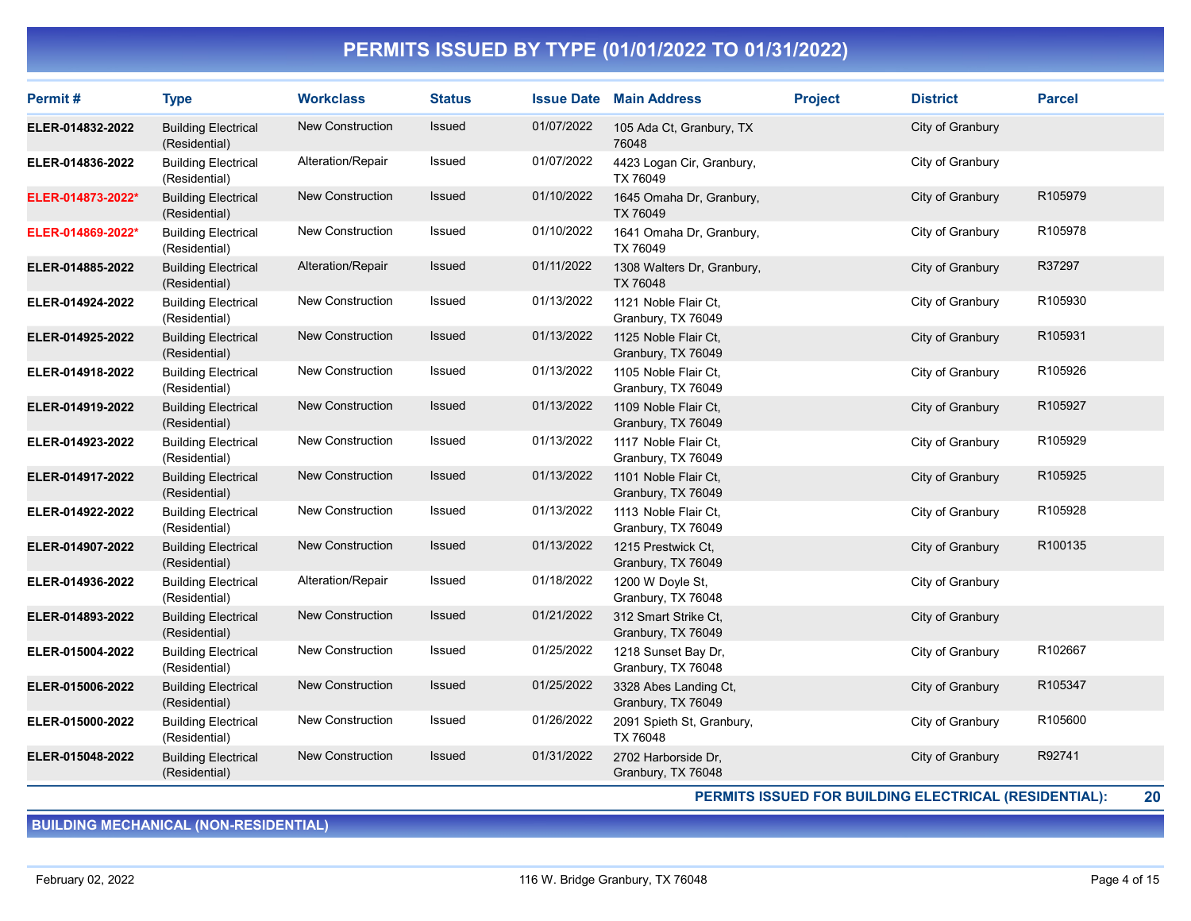| Permit#           | <b>Type</b>                                 | <b>Workclass</b>        | <b>Status</b> |            | <b>Issue Date Main Address</b>              | <b>Project</b> | <b>District</b>  | <b>Parcel</b> |
|-------------------|---------------------------------------------|-------------------------|---------------|------------|---------------------------------------------|----------------|------------------|---------------|
| ELER-014832-2022  | <b>Building Electrical</b><br>(Residential) | <b>New Construction</b> | <b>Issued</b> | 01/07/2022 | 105 Ada Ct, Granbury, TX<br>76048           |                | City of Granbury |               |
| ELER-014836-2022  | <b>Building Electrical</b><br>(Residential) | Alteration/Repair       | Issued        | 01/07/2022 | 4423 Logan Cir, Granbury,<br>TX 76049       |                | City of Granbury |               |
| ELER-014873-2022* | <b>Building Electrical</b><br>(Residential) | <b>New Construction</b> | <b>Issued</b> | 01/10/2022 | 1645 Omaha Dr, Granbury,<br>TX 76049        |                | City of Granbury | R105979       |
| ELER-014869-2022* | <b>Building Electrical</b><br>(Residential) | <b>New Construction</b> | Issued        | 01/10/2022 | 1641 Omaha Dr, Granbury,<br>TX 76049        |                | City of Granbury | R105978       |
| ELER-014885-2022  | <b>Building Electrical</b><br>(Residential) | Alteration/Repair       | <b>Issued</b> | 01/11/2022 | 1308 Walters Dr, Granbury,<br>TX 76048      |                | City of Granbury | R37297        |
| ELER-014924-2022  | <b>Building Electrical</b><br>(Residential) | New Construction        | Issued        | 01/13/2022 | 1121 Noble Flair Ct.<br>Granbury, TX 76049  |                | City of Granbury | R105930       |
| ELER-014925-2022  | <b>Building Electrical</b><br>(Residential) | <b>New Construction</b> | Issued        | 01/13/2022 | 1125 Noble Flair Ct,<br>Granbury, TX 76049  |                | City of Granbury | R105931       |
| ELER-014918-2022  | <b>Building Electrical</b><br>(Residential) | New Construction        | Issued        | 01/13/2022 | 1105 Noble Flair Ct,<br>Granbury, TX 76049  |                | City of Granbury | R105926       |
| ELER-014919-2022  | <b>Building Electrical</b><br>(Residential) | <b>New Construction</b> | Issued        | 01/13/2022 | 1109 Noble Flair Ct,<br>Granbury, TX 76049  |                | City of Granbury | R105927       |
| ELER-014923-2022  | <b>Building Electrical</b><br>(Residential) | New Construction        | Issued        | 01/13/2022 | 1117 Noble Flair Ct,<br>Granbury, TX 76049  |                | City of Granbury | R105929       |
| ELER-014917-2022  | <b>Building Electrical</b><br>(Residential) | <b>New Construction</b> | <b>Issued</b> | 01/13/2022 | 1101 Noble Flair Ct.<br>Granbury, TX 76049  |                | City of Granbury | R105925       |
| ELER-014922-2022  | <b>Building Electrical</b><br>(Residential) | <b>New Construction</b> | Issued        | 01/13/2022 | 1113 Noble Flair Ct,<br>Granbury, TX 76049  |                | City of Granbury | R105928       |
| ELER-014907-2022  | <b>Building Electrical</b><br>(Residential) | <b>New Construction</b> | <b>Issued</b> | 01/13/2022 | 1215 Prestwick Ct.<br>Granbury, TX 76049    |                | City of Granbury | R100135       |
| ELER-014936-2022  | <b>Building Electrical</b><br>(Residential) | Alteration/Repair       | Issued        | 01/18/2022 | 1200 W Doyle St.<br>Granbury, TX 76048      |                | City of Granbury |               |
| ELER-014893-2022  | <b>Building Electrical</b><br>(Residential) | <b>New Construction</b> | Issued        | 01/21/2022 | 312 Smart Strike Ct.<br>Granbury, TX 76049  |                | City of Granbury |               |
| ELER-015004-2022  | <b>Building Electrical</b><br>(Residential) | New Construction        | Issued        | 01/25/2022 | 1218 Sunset Bay Dr,<br>Granbury, TX 76048   |                | City of Granbury | R102667       |
| ELER-015006-2022  | <b>Building Electrical</b><br>(Residential) | <b>New Construction</b> | <b>Issued</b> | 01/25/2022 | 3328 Abes Landing Ct,<br>Granbury, TX 76049 |                | City of Granbury | R105347       |
| ELER-015000-2022  | <b>Building Electrical</b><br>(Residential) | New Construction        | Issued        | 01/26/2022 | 2091 Spieth St, Granbury,<br>TX 76048       |                | City of Granbury | R105600       |
| ELER-015048-2022  | <b>Building Electrical</b><br>(Residential) | <b>New Construction</b> | <b>Issued</b> | 01/31/2022 | 2702 Harborside Dr,<br>Granbury, TX 76048   |                | City of Granbury | R92741        |

PERMITS ISSUED FOR BUILDING ELECTRICAL (RESIDENTIAL): 20

BUILDING MECHANICAL (NON-RESIDENTIAL)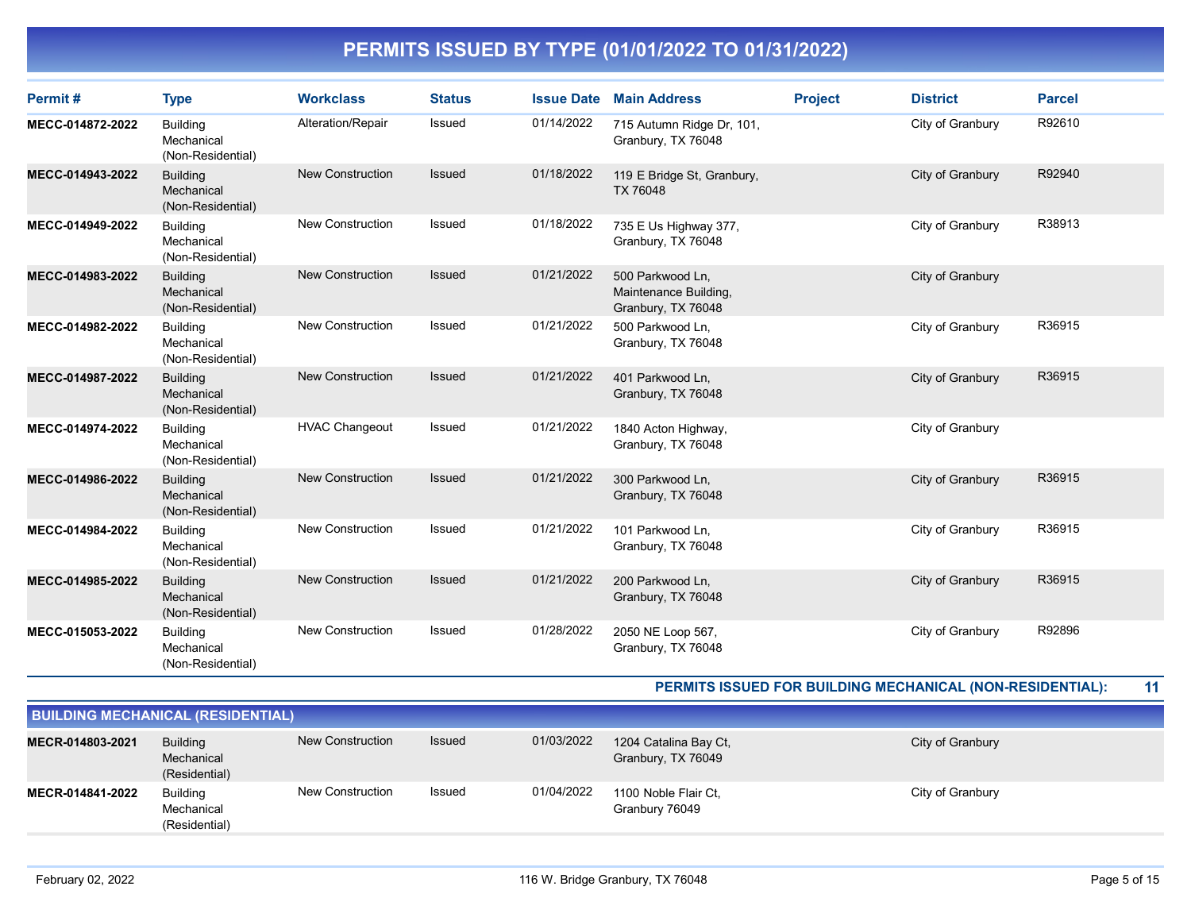| Permit#          | <b>Type</b>                                        | <b>Workclass</b>        | <b>Status</b> | <b>Issue Date</b> | <b>Main Address</b>                                             | <b>Project</b> | <b>District</b>  | <b>Parcel</b> |
|------------------|----------------------------------------------------|-------------------------|---------------|-------------------|-----------------------------------------------------------------|----------------|------------------|---------------|
| MECC-014872-2022 | <b>Building</b><br>Mechanical<br>(Non-Residential) | Alteration/Repair       | Issued        | 01/14/2022        | 715 Autumn Ridge Dr, 101,<br>Granbury, TX 76048                 |                | City of Granbury | R92610        |
| MECC-014943-2022 | <b>Building</b><br>Mechanical<br>(Non-Residential) | <b>New Construction</b> | <b>Issued</b> | 01/18/2022        | 119 E Bridge St, Granbury,<br>TX 76048                          |                | City of Granbury | R92940        |
| MECC-014949-2022 | <b>Building</b><br>Mechanical<br>(Non-Residential) | <b>New Construction</b> | Issued        | 01/18/2022        | 735 E Us Highway 377,<br>Granbury, TX 76048                     |                | City of Granbury | R38913        |
| MECC-014983-2022 | <b>Building</b><br>Mechanical<br>(Non-Residential) | <b>New Construction</b> | <b>Issued</b> | 01/21/2022        | 500 Parkwood Ln,<br>Maintenance Building,<br>Granbury, TX 76048 |                | City of Granbury |               |
| MECC-014982-2022 | <b>Building</b><br>Mechanical<br>(Non-Residential) | <b>New Construction</b> | <b>Issued</b> | 01/21/2022        | 500 Parkwood Ln,<br>Granbury, TX 76048                          |                | City of Granbury | R36915        |
| MECC-014987-2022 | <b>Building</b><br>Mechanical<br>(Non-Residential) | <b>New Construction</b> | <b>Issued</b> | 01/21/2022        | 401 Parkwood Ln,<br>Granbury, TX 76048                          |                | City of Granbury | R36915        |
| MECC-014974-2022 | <b>Building</b><br>Mechanical<br>(Non-Residential) | <b>HVAC Changeout</b>   | Issued        | 01/21/2022        | 1840 Acton Highway,<br>Granbury, TX 76048                       |                | City of Granbury |               |
| MECC-014986-2022 | <b>Building</b><br>Mechanical<br>(Non-Residential) | <b>New Construction</b> | <b>Issued</b> | 01/21/2022        | 300 Parkwood Ln,<br>Granbury, TX 76048                          |                | City of Granbury | R36915        |
| MECC-014984-2022 | <b>Building</b><br>Mechanical<br>(Non-Residential) | New Construction        | Issued        | 01/21/2022        | 101 Parkwood Ln,<br>Granbury, TX 76048                          |                | City of Granbury | R36915        |
| MECC-014985-2022 | <b>Building</b><br>Mechanical<br>(Non-Residential) | <b>New Construction</b> | <b>Issued</b> | 01/21/2022        | 200 Parkwood Ln,<br>Granbury, TX 76048                          |                | City of Granbury | R36915        |
| MECC-015053-2022 | <b>Building</b><br>Mechanical<br>(Non-Residential) | <b>New Construction</b> | <b>Issued</b> | 01/28/2022        | 2050 NE Loop 567,<br>Granbury, TX 76048                         |                | City of Granbury | R92896        |

PERMITS ISSUED FOR BUILDING MECHANICAL (NON-RESIDENTIAL): 11

| <b>BUILDING MECHANICAL (RESIDENTIAL)</b> |                                                |                         |        |            |                                             |                  |  |  |  |  |  |
|------------------------------------------|------------------------------------------------|-------------------------|--------|------------|---------------------------------------------|------------------|--|--|--|--|--|
| MECR-014803-2021                         | <b>Building</b><br>Mechanical<br>(Residential) | New Construction        | Issued | 01/03/2022 | 1204 Catalina Bay Ct,<br>Granbury, TX 76049 | City of Granbury |  |  |  |  |  |
| MECR-014841-2022                         | <b>Building</b><br>Mechanical<br>(Residential) | <b>New Construction</b> | Issued | 01/04/2022 | 1100 Noble Flair Ct.<br>Granbury 76049      | City of Granbury |  |  |  |  |  |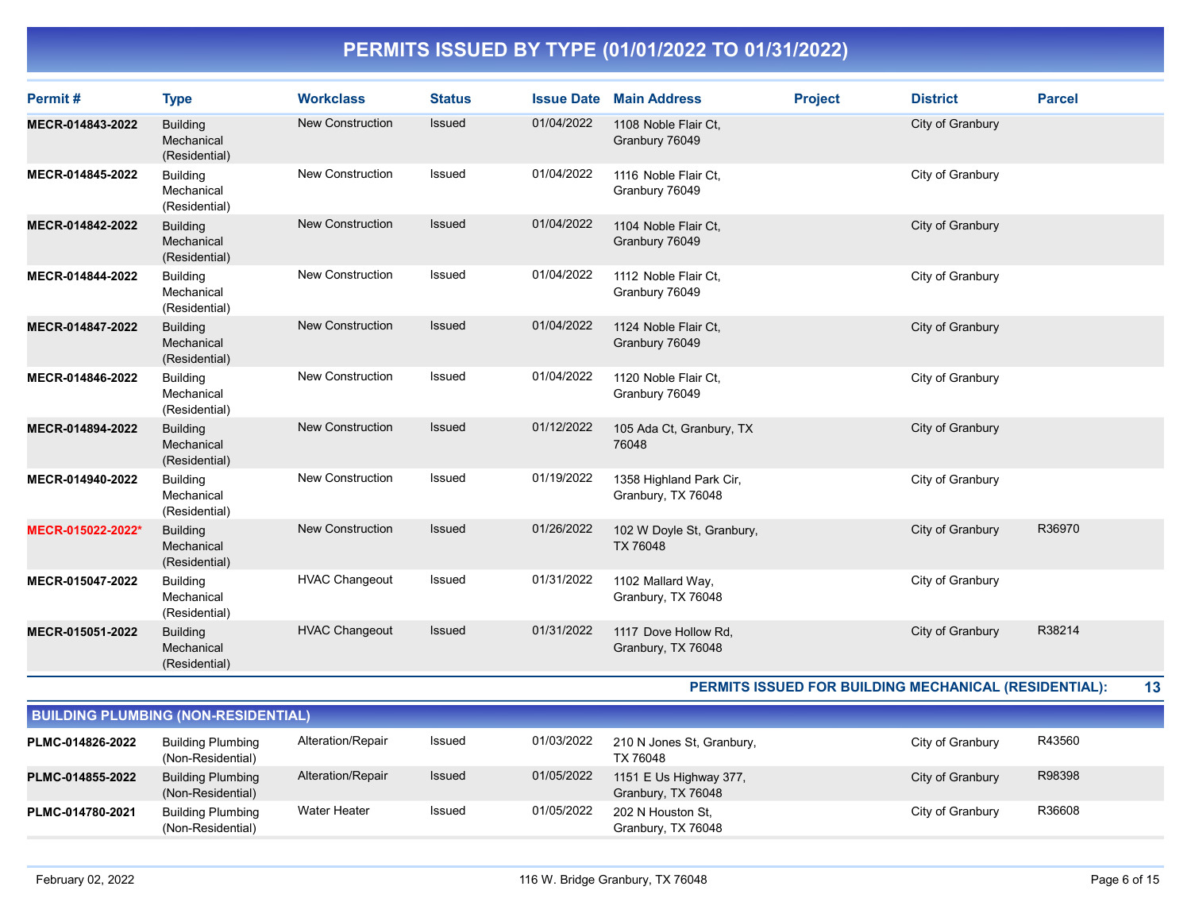| Permit#           | <b>Type</b>                                    | <b>Workclass</b>        | <b>Status</b> | <b>Issue Date</b> | <b>Main Address</b>                           | <b>Project</b> | <b>District</b>  | <b>Parcel</b> |
|-------------------|------------------------------------------------|-------------------------|---------------|-------------------|-----------------------------------------------|----------------|------------------|---------------|
| MECR-014843-2022  | <b>Building</b><br>Mechanical<br>(Residential) | <b>New Construction</b> | Issued        | 01/04/2022        | 1108 Noble Flair Ct,<br>Granbury 76049        |                | City of Granbury |               |
| MECR-014845-2022  | <b>Building</b><br>Mechanical<br>(Residential) | <b>New Construction</b> | Issued        | 01/04/2022        | 1116 Noble Flair Ct.<br>Granbury 76049        |                | City of Granbury |               |
| MECR-014842-2022  | <b>Building</b><br>Mechanical<br>(Residential) | <b>New Construction</b> | Issued        | 01/04/2022        | 1104 Noble Flair Ct.<br>Granbury 76049        |                | City of Granbury |               |
| MECR-014844-2022  | <b>Building</b><br>Mechanical<br>(Residential) | <b>New Construction</b> | Issued        | 01/04/2022        | 1112 Noble Flair Ct,<br>Granbury 76049        |                | City of Granbury |               |
| MECR-014847-2022  | <b>Building</b><br>Mechanical<br>(Residential) | <b>New Construction</b> | <b>Issued</b> | 01/04/2022        | 1124 Noble Flair Ct,<br>Granbury 76049        |                | City of Granbury |               |
| MECR-014846-2022  | <b>Building</b><br>Mechanical<br>(Residential) | New Construction        | Issued        | 01/04/2022        | 1120 Noble Flair Ct.<br>Granbury 76049        |                | City of Granbury |               |
| MECR-014894-2022  | <b>Building</b><br>Mechanical<br>(Residential) | <b>New Construction</b> | <b>Issued</b> | 01/12/2022        | 105 Ada Ct, Granbury, TX<br>76048             |                | City of Granbury |               |
| MECR-014940-2022  | <b>Building</b><br>Mechanical<br>(Residential) | <b>New Construction</b> | Issued        | 01/19/2022        | 1358 Highland Park Cir,<br>Granbury, TX 76048 |                | City of Granbury |               |
| MECR-015022-2022* | <b>Building</b><br>Mechanical<br>(Residential) | <b>New Construction</b> | Issued        | 01/26/2022        | 102 W Doyle St, Granbury,<br><b>TX 76048</b>  |                | City of Granbury | R36970        |
| MECR-015047-2022  | <b>Building</b><br>Mechanical<br>(Residential) | <b>HVAC Changeout</b>   | Issued        | 01/31/2022        | 1102 Mallard Way,<br>Granbury, TX 76048       |                | City of Granbury |               |
| MECR-015051-2022  | <b>Building</b><br>Mechanical<br>(Residential) | <b>HVAC Changeout</b>   | <b>Issued</b> | 01/31/2022        | 1117 Dove Hollow Rd,<br>Granbury, TX 76048    |                | City of Granbury | R38214        |

PERMITS ISSUED FOR BUILDING MECHANICAL (RESIDENTIAL): 13

| <b>BUILDING PLUMBING (NON-RESIDENTIAL)</b> |                                               |                   |        |            |                                              |                  |        |  |  |  |  |
|--------------------------------------------|-----------------------------------------------|-------------------|--------|------------|----------------------------------------------|------------------|--------|--|--|--|--|
| PLMC-014826-2022                           | <b>Building Plumbing</b><br>(Non-Residential) | Alteration/Repair | Issued | 01/03/2022 | 210 N Jones St, Granbury,<br>TX 76048        | City of Granbury | R43560 |  |  |  |  |
| PLMC-014855-2022                           | <b>Building Plumbing</b><br>(Non-Residential) | Alteration/Repair | Issued | 01/05/2022 | 1151 E Us Highway 377,<br>Granbury, TX 76048 | City of Granbury | R98398 |  |  |  |  |
| PLMC-014780-2021                           | <b>Building Plumbing</b><br>(Non-Residential) | Water Heater      | Issued | 01/05/2022 | 202 N Houston St.<br>Granbury, TX 76048      | City of Granbury | R36608 |  |  |  |  |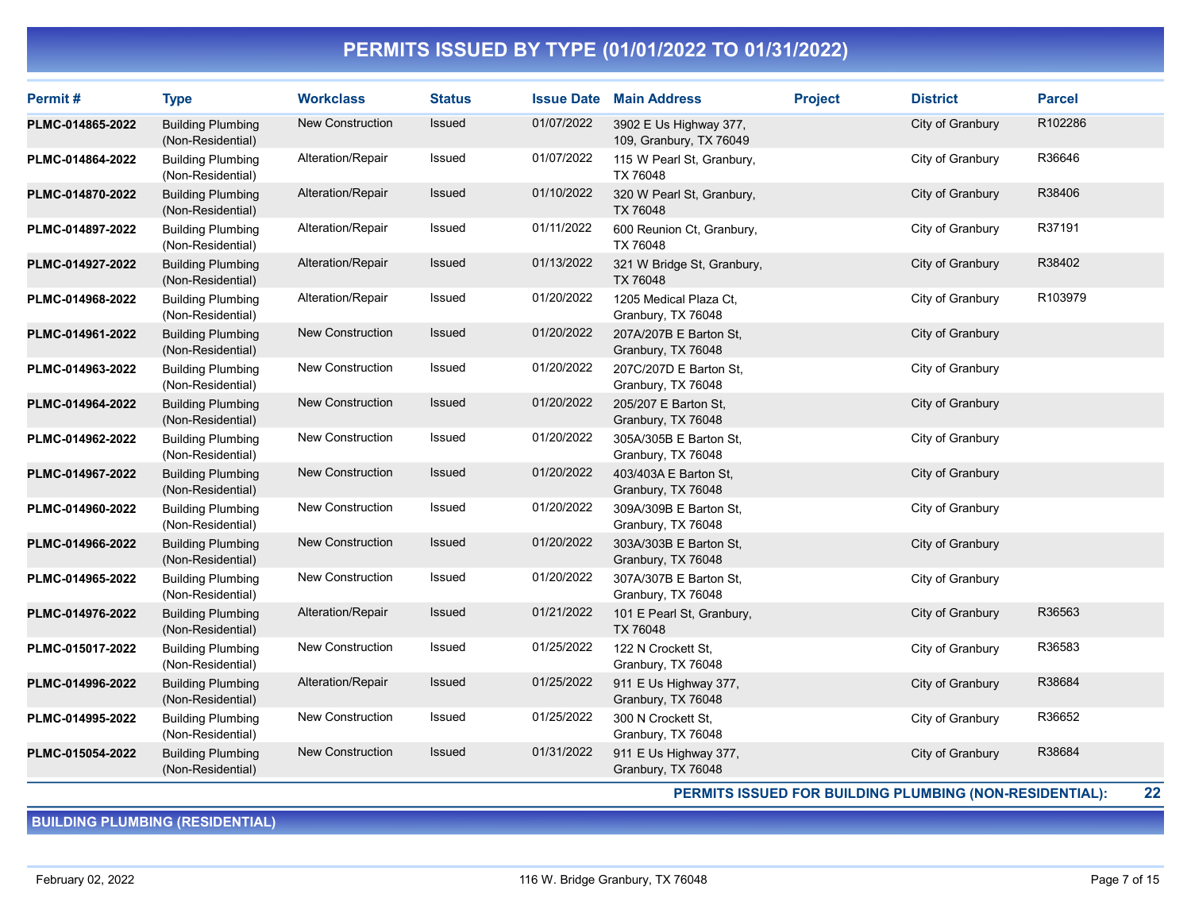| Permit#          | <b>Type</b>                                   | <b>Workclass</b>        | <b>Status</b> |            | <b>Issue Date Main Address</b>                    | <b>Project</b> | <b>District</b>  | <b>Parcel</b> |
|------------------|-----------------------------------------------|-------------------------|---------------|------------|---------------------------------------------------|----------------|------------------|---------------|
| PLMC-014865-2022 | <b>Building Plumbing</b><br>(Non-Residential) | <b>New Construction</b> | Issued        | 01/07/2022 | 3902 E Us Highway 377,<br>109, Granbury, TX 76049 |                | City of Granbury | R102286       |
| PLMC-014864-2022 | <b>Building Plumbing</b><br>(Non-Residential) | Alteration/Repair       | Issued        | 01/07/2022 | 115 W Pearl St, Granbury,<br>TX 76048             |                | City of Granbury | R36646        |
| PLMC-014870-2022 | <b>Building Plumbing</b><br>(Non-Residential) | Alteration/Repair       | Issued        | 01/10/2022 | 320 W Pearl St, Granbury,<br>TX 76048             |                | City of Granbury | R38406        |
| PLMC-014897-2022 | <b>Building Plumbing</b><br>(Non-Residential) | Alteration/Repair       | Issued        | 01/11/2022 | 600 Reunion Ct, Granbury,<br>TX 76048             |                | City of Granbury | R37191        |
| PLMC-014927-2022 | <b>Building Plumbing</b><br>(Non-Residential) | Alteration/Repair       | <b>Issued</b> | 01/13/2022 | 321 W Bridge St, Granbury,<br>TX 76048            |                | City of Granbury | R38402        |
| PLMC-014968-2022 | <b>Building Plumbing</b><br>(Non-Residential) | Alteration/Repair       | Issued        | 01/20/2022 | 1205 Medical Plaza Ct,<br>Granbury, TX 76048      |                | City of Granbury | R103979       |
| PLMC-014961-2022 | <b>Building Plumbing</b><br>(Non-Residential) | <b>New Construction</b> | Issued        | 01/20/2022 | 207A/207B E Barton St,<br>Granbury, TX 76048      |                | City of Granbury |               |
| PLMC-014963-2022 | <b>Building Plumbing</b><br>(Non-Residential) | <b>New Construction</b> | Issued        | 01/20/2022 | 207C/207D E Barton St,<br>Granbury, TX 76048      |                | City of Granbury |               |
| PLMC-014964-2022 | <b>Building Plumbing</b><br>(Non-Residential) | <b>New Construction</b> | <b>Issued</b> | 01/20/2022 | 205/207 E Barton St,<br>Granbury, TX 76048        |                | City of Granbury |               |
| PLMC-014962-2022 | <b>Building Plumbing</b><br>(Non-Residential) | New Construction        | Issued        | 01/20/2022 | 305A/305B E Barton St,<br>Granbury, TX 76048      |                | City of Granbury |               |
| PLMC-014967-2022 | <b>Building Plumbing</b><br>(Non-Residential) | <b>New Construction</b> | Issued        | 01/20/2022 | 403/403A E Barton St,<br>Granbury, TX 76048       |                | City of Granbury |               |
| PLMC-014960-2022 | <b>Building Plumbing</b><br>(Non-Residential) | New Construction        | Issued        | 01/20/2022 | 309A/309B E Barton St,<br>Granbury, TX 76048      |                | City of Granbury |               |
| PLMC-014966-2022 | <b>Building Plumbing</b><br>(Non-Residential) | <b>New Construction</b> | <b>Issued</b> | 01/20/2022 | 303A/303B E Barton St,<br>Granbury, TX 76048      |                | City of Granbury |               |
| PLMC-014965-2022 | <b>Building Plumbing</b><br>(Non-Residential) | <b>New Construction</b> | Issued        | 01/20/2022 | 307A/307B E Barton St,<br>Granbury, TX 76048      |                | City of Granbury |               |
| PLMC-014976-2022 | <b>Building Plumbing</b><br>(Non-Residential) | Alteration/Repair       | Issued        | 01/21/2022 | 101 E Pearl St, Granbury,<br>TX 76048             |                | City of Granbury | R36563        |
| PLMC-015017-2022 | <b>Building Plumbing</b><br>(Non-Residential) | <b>New Construction</b> | Issued        | 01/25/2022 | 122 N Crockett St,<br>Granbury, TX 76048          |                | City of Granbury | R36583        |
| PLMC-014996-2022 | <b>Building Plumbing</b><br>(Non-Residential) | Alteration/Repair       | <b>Issued</b> | 01/25/2022 | 911 E Us Highway 377,<br>Granbury, TX 76048       |                | City of Granbury | R38684        |
| PLMC-014995-2022 | <b>Building Plumbing</b><br>(Non-Residential) | New Construction        | Issued        | 01/25/2022 | 300 N Crockett St.<br>Granbury, TX 76048          |                | City of Granbury | R36652        |
| PLMC-015054-2022 | <b>Building Plumbing</b><br>(Non-Residential) | <b>New Construction</b> | Issued        | 01/31/2022 | 911 E Us Highway 377,<br>Granbury, TX 76048       |                | City of Granbury | R38684        |

PERMITS ISSUED FOR BUILDING PLUMBING (NON-RESIDENTIAL): 22

BUILDING PLUMBING (RESIDENTIAL)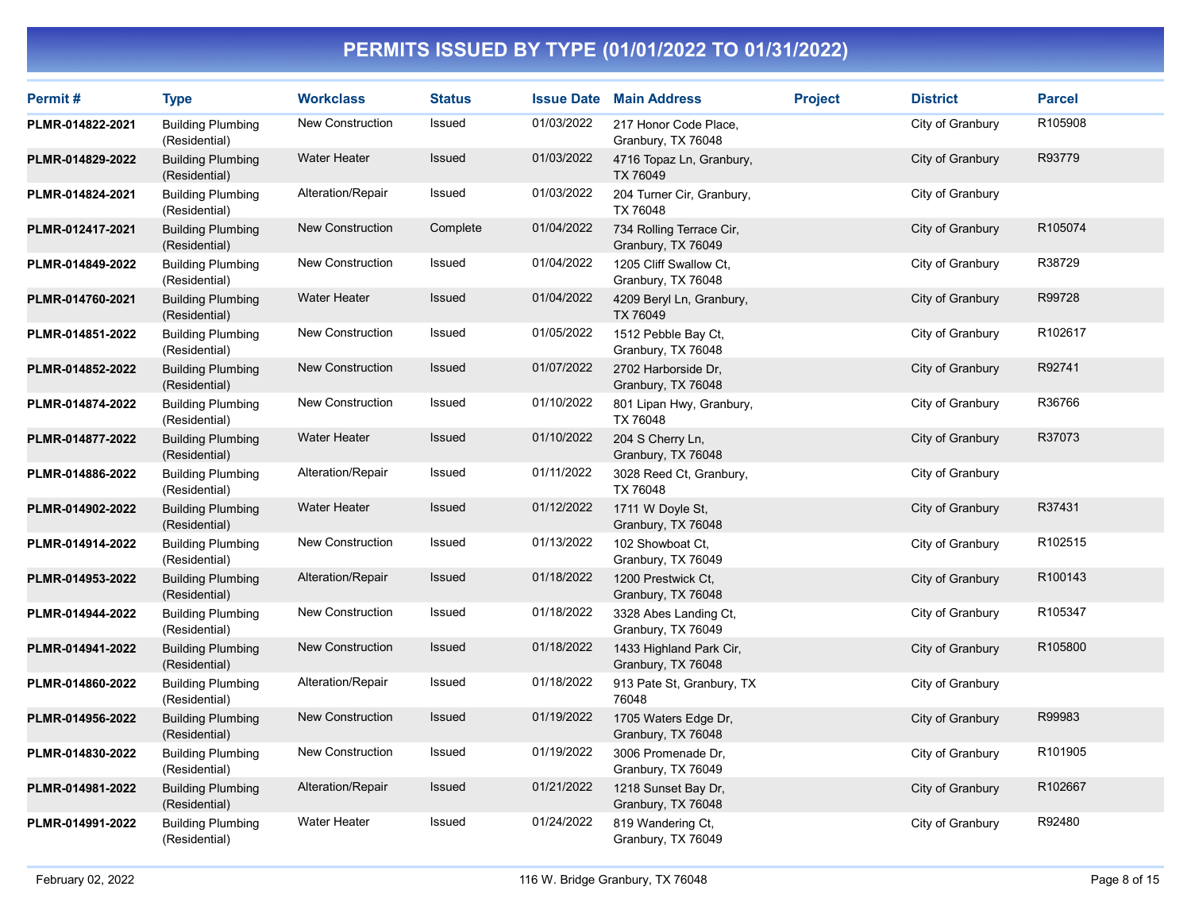| Permit#          | <b>Type</b>                               | <b>Workclass</b>        | <b>Status</b> |            | <b>Issue Date Main Address</b>                 | <b>Project</b> | <b>District</b>  | <b>Parcel</b> |
|------------------|-------------------------------------------|-------------------------|---------------|------------|------------------------------------------------|----------------|------------------|---------------|
| PLMR-014822-2021 | <b>Building Plumbing</b><br>(Residential) | <b>New Construction</b> | Issued        | 01/03/2022 | 217 Honor Code Place,<br>Granbury, TX 76048    |                | City of Granbury | R105908       |
| PLMR-014829-2022 | <b>Building Plumbing</b><br>(Residential) | <b>Water Heater</b>     | Issued        | 01/03/2022 | 4716 Topaz Ln, Granbury,<br>TX 76049           |                | City of Granbury | R93779        |
| PLMR-014824-2021 | <b>Building Plumbing</b><br>(Residential) | Alteration/Repair       | Issued        | 01/03/2022 | 204 Turner Cir, Granbury,<br>TX 76048          |                | City of Granbury |               |
| PLMR-012417-2021 | <b>Building Plumbing</b><br>(Residential) | <b>New Construction</b> | Complete      | 01/04/2022 | 734 Rolling Terrace Cir,<br>Granbury, TX 76049 |                | City of Granbury | R105074       |
| PLMR-014849-2022 | <b>Building Plumbing</b><br>(Residential) | <b>New Construction</b> | Issued        | 01/04/2022 | 1205 Cliff Swallow Ct,<br>Granbury, TX 76048   |                | City of Granbury | R38729        |
| PLMR-014760-2021 | <b>Building Plumbing</b><br>(Residential) | <b>Water Heater</b>     | <b>Issued</b> | 01/04/2022 | 4209 Beryl Ln, Granbury,<br>TX 76049           |                | City of Granbury | R99728        |
| PLMR-014851-2022 | <b>Building Plumbing</b><br>(Residential) | <b>New Construction</b> | Issued        | 01/05/2022 | 1512 Pebble Bay Ct.<br>Granbury, TX 76048      |                | City of Granbury | R102617       |
| PLMR-014852-2022 | <b>Building Plumbing</b><br>(Residential) | New Construction        | Issued        | 01/07/2022 | 2702 Harborside Dr.<br>Granbury, TX 76048      |                | City of Granbury | R92741        |
| PLMR-014874-2022 | <b>Building Plumbing</b><br>(Residential) | New Construction        | Issued        | 01/10/2022 | 801 Lipan Hwy, Granbury,<br>TX 76048           |                | City of Granbury | R36766        |
| PLMR-014877-2022 | <b>Building Plumbing</b><br>(Residential) | <b>Water Heater</b>     | <b>Issued</b> | 01/10/2022 | 204 S Cherry Ln,<br>Granbury, TX 76048         |                | City of Granbury | R37073        |
| PLMR-014886-2022 | <b>Building Plumbing</b><br>(Residential) | Alteration/Repair       | Issued        | 01/11/2022 | 3028 Reed Ct, Granbury,<br>TX 76048            |                | City of Granbury |               |
| PLMR-014902-2022 | <b>Building Plumbing</b><br>(Residential) | <b>Water Heater</b>     | Issued        | 01/12/2022 | 1711 W Doyle St,<br>Granbury, TX 76048         |                | City of Granbury | R37431        |
| PLMR-014914-2022 | <b>Building Plumbing</b><br>(Residential) | <b>New Construction</b> | Issued        | 01/13/2022 | 102 Showboat Ct.<br>Granbury, TX 76049         |                | City of Granbury | R102515       |
| PLMR-014953-2022 | <b>Building Plumbing</b><br>(Residential) | Alteration/Repair       | Issued        | 01/18/2022 | 1200 Prestwick Ct,<br>Granbury, TX 76048       |                | City of Granbury | R100143       |
| PLMR-014944-2022 | <b>Building Plumbing</b><br>(Residential) | <b>New Construction</b> | Issued        | 01/18/2022 | 3328 Abes Landing Ct,<br>Granbury, TX 76049    |                | City of Granbury | R105347       |
| PLMR-014941-2022 | <b>Building Plumbing</b><br>(Residential) | <b>New Construction</b> | Issued        | 01/18/2022 | 1433 Highland Park Cir,<br>Granbury, TX 76048  |                | City of Granbury | R105800       |
| PLMR-014860-2022 | <b>Building Plumbing</b><br>(Residential) | Alteration/Repair       | Issued        | 01/18/2022 | 913 Pate St, Granbury, TX<br>76048             |                | City of Granbury |               |
| PLMR-014956-2022 | <b>Building Plumbing</b><br>(Residential) | <b>New Construction</b> | <b>Issued</b> | 01/19/2022 | 1705 Waters Edge Dr,<br>Granbury, TX 76048     |                | City of Granbury | R99983        |
| PLMR-014830-2022 | <b>Building Plumbing</b><br>(Residential) | New Construction        | Issued        | 01/19/2022 | 3006 Promenade Dr,<br>Granbury, TX 76049       |                | City of Granbury | R101905       |
| PLMR-014981-2022 | <b>Building Plumbing</b><br>(Residential) | Alteration/Repair       | Issued        | 01/21/2022 | 1218 Sunset Bay Dr,<br>Granbury, TX 76048      |                | City of Granbury | R102667       |
| PLMR-014991-2022 | <b>Building Plumbing</b><br>(Residential) | <b>Water Heater</b>     | <b>Issued</b> | 01/24/2022 | 819 Wandering Ct,<br>Granbury, TX 76049        |                | City of Granbury | R92480        |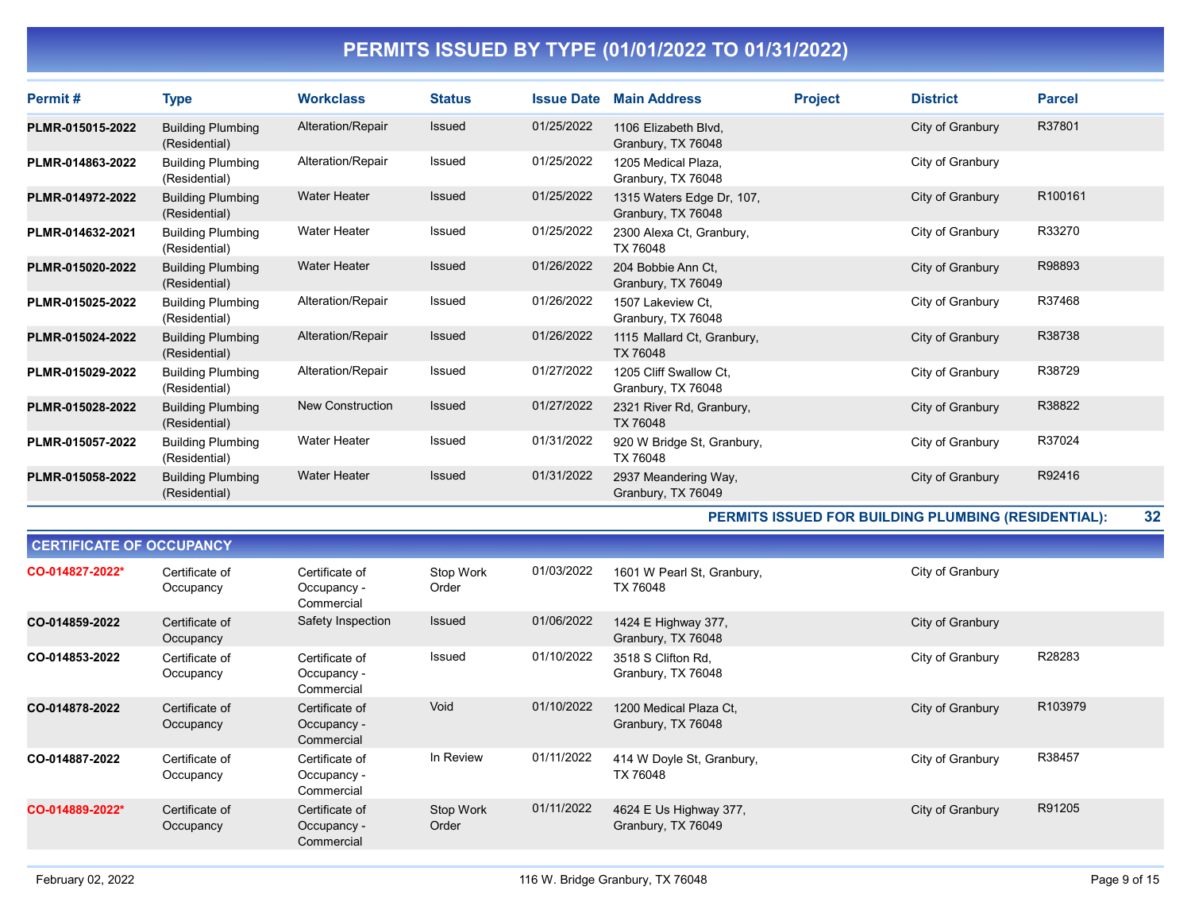| Permit#          | Type                                      | <b>Workclass</b>        | <b>Status</b> | <b>Issue Date</b> | <b>Main Address</b>                             | <b>Project</b> | <b>District</b>  | <b>Parcel</b> |
|------------------|-------------------------------------------|-------------------------|---------------|-------------------|-------------------------------------------------|----------------|------------------|---------------|
| PLMR-015015-2022 | <b>Building Plumbing</b><br>(Residential) | Alteration/Repair       | Issued        | 01/25/2022        | 1106 Elizabeth Blvd.<br>Granbury, TX 76048      |                | City of Granbury | R37801        |
| PLMR-014863-2022 | <b>Building Plumbing</b><br>(Residential) | Alteration/Repair       | Issued        | 01/25/2022        | 1205 Medical Plaza.<br>Granbury, TX 76048       |                | City of Granbury |               |
| PLMR-014972-2022 | <b>Building Plumbing</b><br>(Residential) | <b>Water Heater</b>     | Issued        | 01/25/2022        | 1315 Waters Edge Dr, 107,<br>Granbury, TX 76048 |                | City of Granbury | R100161       |
| PLMR-014632-2021 | <b>Building Plumbing</b><br>(Residential) | <b>Water Heater</b>     | Issued        | 01/25/2022        | 2300 Alexa Ct, Granbury,<br>TX 76048            |                | City of Granbury | R33270        |
| PLMR-015020-2022 | <b>Building Plumbing</b><br>(Residential) | <b>Water Heater</b>     | <b>Issued</b> | 01/26/2022        | 204 Bobbie Ann Ct.<br>Granbury, TX 76049        |                | City of Granbury | R98893        |
| PLMR-015025-2022 | <b>Building Plumbing</b><br>(Residential) | Alteration/Repair       | Issued        | 01/26/2022        | 1507 Lakeview Ct.<br>Granbury, TX 76048         |                | City of Granbury | R37468        |
| PLMR-015024-2022 | <b>Building Plumbing</b><br>(Residential) | Alteration/Repair       | <b>Issued</b> | 01/26/2022        | 1115 Mallard Ct, Granbury,<br>TX 76048          |                | City of Granbury | R38738        |
| PLMR-015029-2022 | <b>Building Plumbing</b><br>(Residential) | Alteration/Repair       | Issued        | 01/27/2022        | 1205 Cliff Swallow Ct,<br>Granbury, TX 76048    |                | City of Granbury | R38729        |
| PLMR-015028-2022 | <b>Building Plumbing</b><br>(Residential) | <b>New Construction</b> | Issued        | 01/27/2022        | 2321 River Rd, Granbury,<br>TX 76048            |                | City of Granbury | R38822        |
| PLMR-015057-2022 | <b>Building Plumbing</b><br>(Residential) | <b>Water Heater</b>     | Issued        | 01/31/2022        | 920 W Bridge St, Granbury,<br>TX 76048          |                | City of Granbury | R37024        |
| PLMR-015058-2022 | <b>Building Plumbing</b><br>(Residential) | <b>Water Heater</b>     | <b>Issued</b> | 01/31/2022        | 2937 Meandering Way,<br>Granbury, TX 76049      |                | City of Granbury | R92416        |

PERMITS ISSUED FOR BUILDING PLUMBING (RESIDENTIAL): 32

| <b>CERTIFICATE OF OCCUPANCY</b> |                             |                                             |                    |            |                                              |                  |         |
|---------------------------------|-----------------------------|---------------------------------------------|--------------------|------------|----------------------------------------------|------------------|---------|
| CO-014827-2022*                 | Certificate of<br>Occupancy | Certificate of<br>Occupancy -<br>Commercial | Stop Work<br>Order | 01/03/2022 | 1601 W Pearl St, Granbury,<br>TX 76048       | City of Granbury |         |
| CO-014859-2022                  | Certificate of<br>Occupancy | Safety Inspection                           | Issued             | 01/06/2022 | 1424 E Highway 377,<br>Granbury, TX 76048    | City of Granbury |         |
| CO-014853-2022                  | Certificate of<br>Occupancy | Certificate of<br>Occupancy -<br>Commercial | Issued             | 01/10/2022 | 3518 S Clifton Rd.<br>Granbury, TX 76048     | City of Granbury | R28283  |
| CO-014878-2022                  | Certificate of<br>Occupancy | Certificate of<br>Occupancy -<br>Commercial | Void               | 01/10/2022 | 1200 Medical Plaza Ct,<br>Granbury, TX 76048 | City of Granbury | R103979 |
| CO-014887-2022                  | Certificate of<br>Occupancy | Certificate of<br>Occupancy -<br>Commercial | In Review          | 01/11/2022 | 414 W Doyle St, Granbury,<br>TX 76048        | City of Granbury | R38457  |
| CO-014889-2022*                 | Certificate of<br>Occupancy | Certificate of<br>Occupancy -<br>Commercial | Stop Work<br>Order | 01/11/2022 | 4624 E Us Highway 377,<br>Granbury, TX 76049 | City of Granbury | R91205  |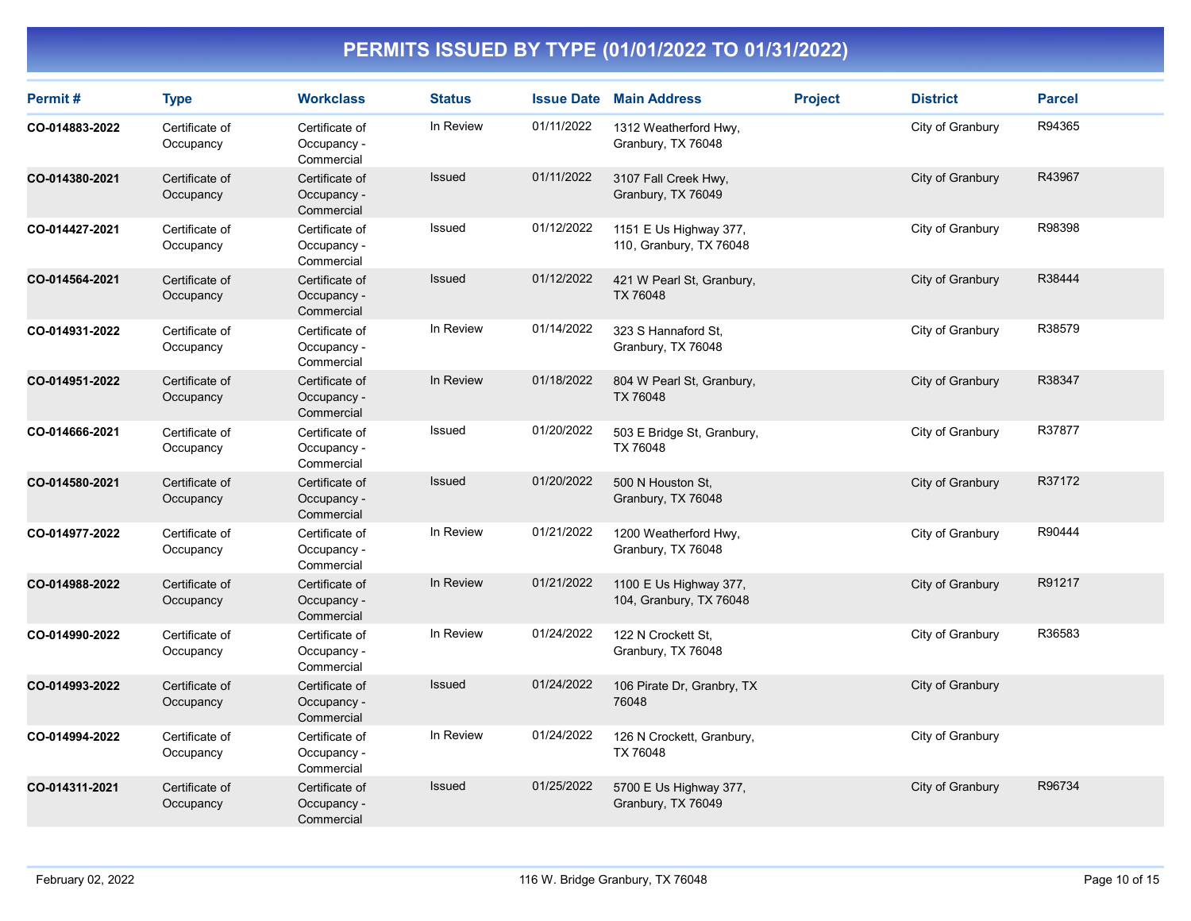| Permit#        | <b>Type</b>                 | <b>Workclass</b>                            | <b>Status</b> | <b>Issue Date</b> | <b>Main Address</b>                               | <b>Project</b> | <b>District</b>  | <b>Parcel</b> |
|----------------|-----------------------------|---------------------------------------------|---------------|-------------------|---------------------------------------------------|----------------|------------------|---------------|
| CO-014883-2022 | Certificate of<br>Occupancy | Certificate of<br>Occupancy -<br>Commercial | In Review     | 01/11/2022        | 1312 Weatherford Hwy,<br>Granbury, TX 76048       |                | City of Granbury | R94365        |
| CO-014380-2021 | Certificate of<br>Occupancy | Certificate of<br>Occupancy -<br>Commercial | <b>Issued</b> | 01/11/2022        | 3107 Fall Creek Hwy,<br>Granbury, TX 76049        |                | City of Granbury | R43967        |
| CO-014427-2021 | Certificate of<br>Occupancy | Certificate of<br>Occupancy -<br>Commercial | Issued        | 01/12/2022        | 1151 E Us Highway 377,<br>110, Granbury, TX 76048 |                | City of Granbury | R98398        |
| CO-014564-2021 | Certificate of<br>Occupancy | Certificate of<br>Occupancy -<br>Commercial | Issued        | 01/12/2022        | 421 W Pearl St, Granbury,<br>TX 76048             |                | City of Granbury | R38444        |
| CO-014931-2022 | Certificate of<br>Occupancy | Certificate of<br>Occupancy -<br>Commercial | In Review     | 01/14/2022        | 323 S Hannaford St.<br>Granbury, TX 76048         |                | City of Granbury | R38579        |
| CO-014951-2022 | Certificate of<br>Occupancy | Certificate of<br>Occupancy -<br>Commercial | In Review     | 01/18/2022        | 804 W Pearl St, Granbury,<br>TX 76048             |                | City of Granbury | R38347        |
| CO-014666-2021 | Certificate of<br>Occupancy | Certificate of<br>Occupancy -<br>Commercial | Issued        | 01/20/2022        | 503 E Bridge St, Granbury,<br>TX 76048            |                | City of Granbury | R37877        |
| CO-014580-2021 | Certificate of<br>Occupancy | Certificate of<br>Occupancy -<br>Commercial | Issued        | 01/20/2022        | 500 N Houston St.<br>Granbury, TX 76048           |                | City of Granbury | R37172        |
| CO-014977-2022 | Certificate of<br>Occupancy | Certificate of<br>Occupancy -<br>Commercial | In Review     | 01/21/2022        | 1200 Weatherford Hwy,<br>Granbury, TX 76048       |                | City of Granbury | R90444        |
| CO-014988-2022 | Certificate of<br>Occupancy | Certificate of<br>Occupancy -<br>Commercial | In Review     | 01/21/2022        | 1100 E Us Highway 377,<br>104, Granbury, TX 76048 |                | City of Granbury | R91217        |
| CO-014990-2022 | Certificate of<br>Occupancy | Certificate of<br>Occupancy -<br>Commercial | In Review     | 01/24/2022        | 122 N Crockett St,<br>Granbury, TX 76048          |                | City of Granbury | R36583        |
| CO-014993-2022 | Certificate of<br>Occupancy | Certificate of<br>Occupancy -<br>Commercial | Issued        | 01/24/2022        | 106 Pirate Dr, Granbry, TX<br>76048               |                | City of Granbury |               |
| CO-014994-2022 | Certificate of<br>Occupancy | Certificate of<br>Occupancy -<br>Commercial | In Review     | 01/24/2022        | 126 N Crockett, Granbury,<br>TX 76048             |                | City of Granbury |               |
| CO-014311-2021 | Certificate of<br>Occupancy | Certificate of<br>Occupancy -<br>Commercial | Issued        | 01/25/2022        | 5700 E Us Highway 377,<br>Granbury, TX 76049      |                | City of Granbury | R96734        |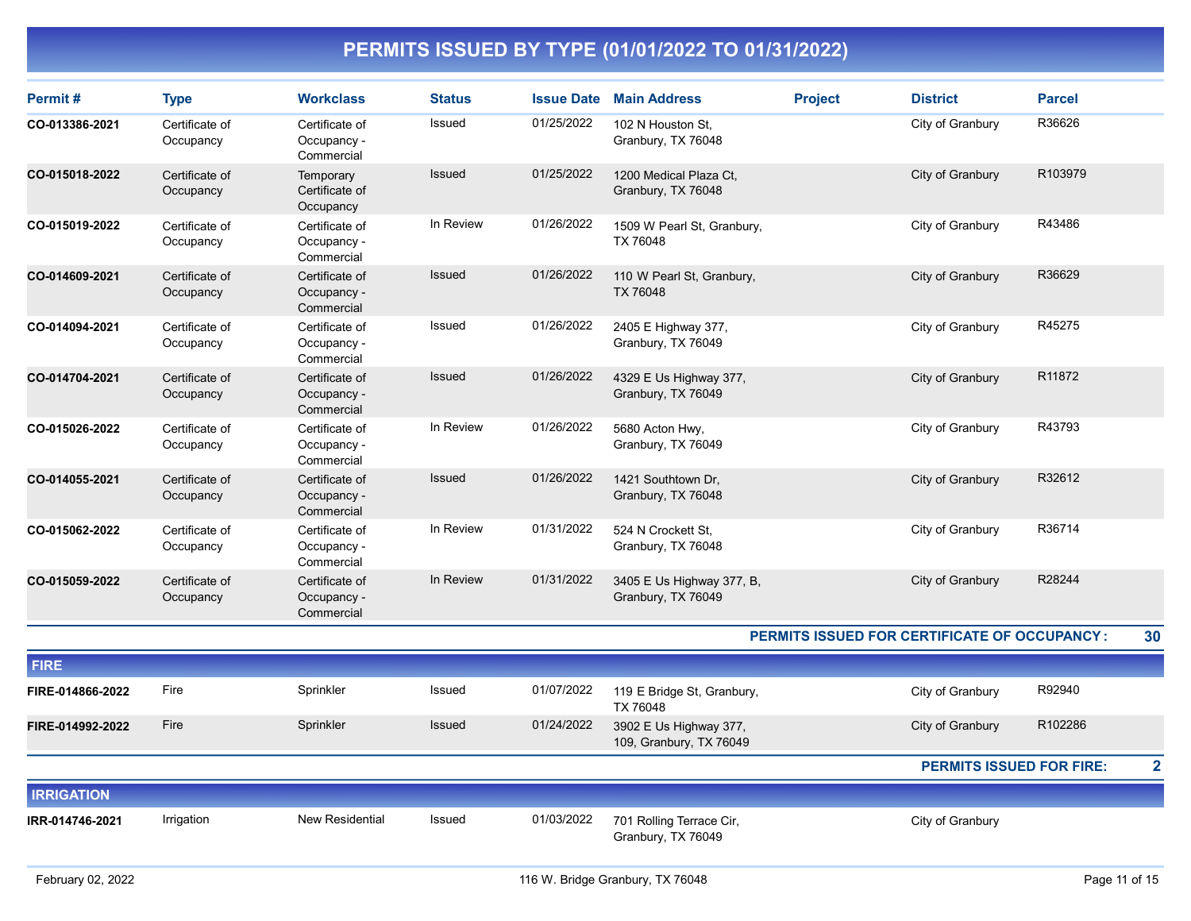| Permit#           | <b>Type</b>                 | <b>Workclass</b>                            | <b>Status</b> | <b>Issue Date</b> | <b>Main Address</b>                               | <b>Project</b> | <b>District</b>                              | <b>Parcel</b> |                         |
|-------------------|-----------------------------|---------------------------------------------|---------------|-------------------|---------------------------------------------------|----------------|----------------------------------------------|---------------|-------------------------|
| CO-013386-2021    | Certificate of<br>Occupancy | Certificate of<br>Occupancy -<br>Commercial | Issued        | 01/25/2022        | 102 N Houston St,<br>Granbury, TX 76048           |                | City of Granbury                             | R36626        |                         |
| CO-015018-2022    | Certificate of<br>Occupancy | Temporary<br>Certificate of<br>Occupancy    | Issued        | 01/25/2022        | 1200 Medical Plaza Ct,<br>Granbury, TX 76048      |                | City of Granbury                             | R103979       |                         |
| CO-015019-2022    | Certificate of<br>Occupancy | Certificate of<br>Occupancy -<br>Commercial | In Review     | 01/26/2022        | 1509 W Pearl St, Granbury,<br>TX 76048            |                | City of Granbury                             | R43486        |                         |
| CO-014609-2021    | Certificate of<br>Occupancy | Certificate of<br>Occupancy -<br>Commercial | <b>Issued</b> | 01/26/2022        | 110 W Pearl St, Granbury,<br>TX 76048             |                | City of Granbury                             | R36629        |                         |
| CO-014094-2021    | Certificate of<br>Occupancy | Certificate of<br>Occupancy -<br>Commercial | Issued        | 01/26/2022        | 2405 E Highway 377,<br>Granbury, TX 76049         |                | City of Granbury                             | R45275        |                         |
| CO-014704-2021    | Certificate of<br>Occupancy | Certificate of<br>Occupancy -<br>Commercial | <b>Issued</b> | 01/26/2022        | 4329 E Us Highway 377,<br>Granbury, TX 76049      |                | City of Granbury                             | R11872        |                         |
| CO-015026-2022    | Certificate of<br>Occupancy | Certificate of<br>Occupancy -<br>Commercial | In Review     | 01/26/2022        | 5680 Acton Hwy,<br>Granbury, TX 76049             |                | City of Granbury                             | R43793        |                         |
| CO-014055-2021    | Certificate of<br>Occupancy | Certificate of<br>Occupancy -<br>Commercial | <b>Issued</b> | 01/26/2022        | 1421 Southtown Dr,<br>Granbury, TX 76048          |                | City of Granbury                             | R32612        |                         |
| CO-015062-2022    | Certificate of<br>Occupancy | Certificate of<br>Occupancy -<br>Commercial | In Review     | 01/31/2022        | 524 N Crockett St.<br>Granbury, TX 76048          |                | City of Granbury                             | R36714        |                         |
| CO-015059-2022    | Certificate of<br>Occupancy | Certificate of<br>Occupancy -<br>Commercial | In Review     | 01/31/2022        | 3405 E Us Highway 377, B,<br>Granbury, TX 76049   |                | City of Granbury                             | R28244        |                         |
|                   |                             |                                             |               |                   |                                                   |                | PERMITS ISSUED FOR CERTIFICATE OF OCCUPANCY: |               | 30                      |
| <b>FIRE</b>       |                             |                                             |               |                   |                                                   |                |                                              |               |                         |
| FIRE-014866-2022  | Fire                        | Sprinkler                                   | <b>Issued</b> | 01/07/2022        | 119 E Bridge St, Granbury,<br>TX 76048            |                | City of Granbury                             | R92940        |                         |
| FIRE-014992-2022  | Fire                        | Sprinkler                                   | Issued        | 01/24/2022        | 3902 E Us Highway 377,<br>109, Granbury, TX 76049 |                | City of Granbury                             | R102286       |                         |
|                   |                             |                                             |               |                   |                                                   |                | <b>PERMITS ISSUED FOR FIRE:</b>              |               | $\overline{\mathbf{2}}$ |
| <b>IRRIGATION</b> |                             |                                             |               |                   |                                                   |                |                                              |               |                         |
| IRR-014746-2021   | Irrigation                  | <b>New Residential</b>                      | <b>Issued</b> | 01/03/2022        | 701 Rolling Terrace Cir,<br>Granbury, TX 76049    |                | City of Granbury                             |               |                         |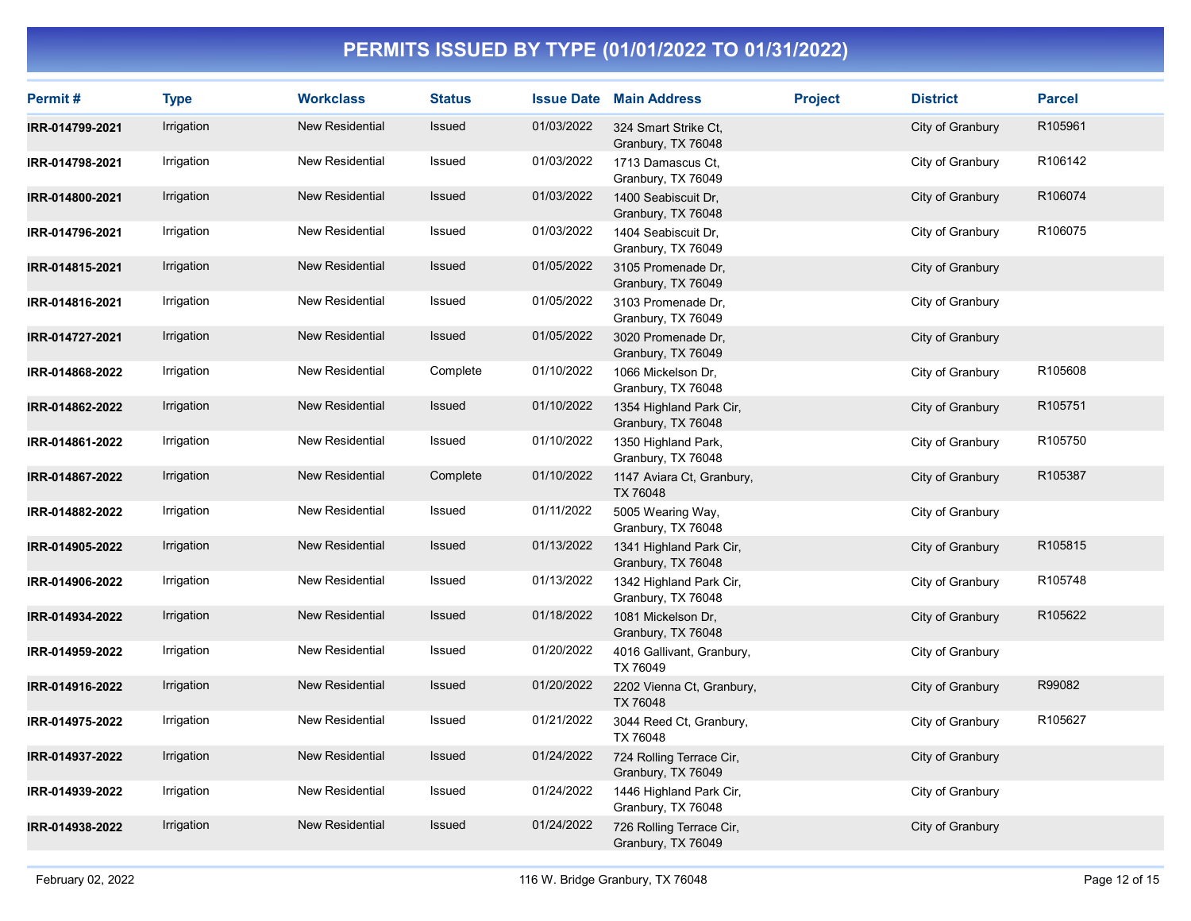| Permit#         | <b>Type</b> | <b>Workclass</b>       | <b>Status</b> |            | <b>Issue Date Main Address</b>                 | <b>Project</b> | <b>District</b>  | <b>Parcel</b> |
|-----------------|-------------|------------------------|---------------|------------|------------------------------------------------|----------------|------------------|---------------|
| IRR-014799-2021 | Irrigation  | <b>New Residential</b> | Issued        | 01/03/2022 | 324 Smart Strike Ct,<br>Granbury, TX 76048     |                | City of Granbury | R105961       |
| IRR-014798-2021 | Irrigation  | New Residential        | Issued        | 01/03/2022 | 1713 Damascus Ct,<br>Granbury, TX 76049        |                | City of Granbury | R106142       |
| IRR-014800-2021 | Irrigation  | <b>New Residential</b> | Issued        | 01/03/2022 | 1400 Seabiscuit Dr.<br>Granbury, TX 76048      |                | City of Granbury | R106074       |
| IRR-014796-2021 | Irrigation  | New Residential        | Issued        | 01/03/2022 | 1404 Seabiscuit Dr.<br>Granbury, TX 76049      |                | City of Granbury | R106075       |
| IRR-014815-2021 | Irrigation  | <b>New Residential</b> | Issued        | 01/05/2022 | 3105 Promenade Dr,<br>Granbury, TX 76049       |                | City of Granbury |               |
| IRR-014816-2021 | Irrigation  | New Residential        | Issued        | 01/05/2022 | 3103 Promenade Dr.<br>Granbury, TX 76049       |                | City of Granbury |               |
| IRR-014727-2021 | Irrigation  | <b>New Residential</b> | Issued        | 01/05/2022 | 3020 Promenade Dr.<br>Granbury, TX 76049       |                | City of Granbury |               |
| IRR-014868-2022 | Irrigation  | New Residential        | Complete      | 01/10/2022 | 1066 Mickelson Dr,<br>Granbury, TX 76048       |                | City of Granbury | R105608       |
| IRR-014862-2022 | Irrigation  | New Residential        | Issued        | 01/10/2022 | 1354 Highland Park Cir,<br>Granbury, TX 76048  |                | City of Granbury | R105751       |
| IRR-014861-2022 | Irrigation  | New Residential        | Issued        | 01/10/2022 | 1350 Highland Park,<br>Granbury, TX 76048      |                | City of Granbury | R105750       |
| IRR-014867-2022 | Irrigation  | New Residential        | Complete      | 01/10/2022 | 1147 Aviara Ct, Granbury,<br>TX 76048          |                | City of Granbury | R105387       |
| IRR-014882-2022 | Irrigation  | New Residential        | Issued        | 01/11/2022 | 5005 Wearing Way,<br>Granbury, TX 76048        |                | City of Granbury |               |
| IRR-014905-2022 | Irrigation  | New Residential        | <b>Issued</b> | 01/13/2022 | 1341 Highland Park Cir,<br>Granbury, TX 76048  |                | City of Granbury | R105815       |
| IRR-014906-2022 | Irrigation  | New Residential        | Issued        | 01/13/2022 | 1342 Highland Park Cir,<br>Granbury, TX 76048  |                | City of Granbury | R105748       |
| IRR-014934-2022 | Irrigation  | <b>New Residential</b> | Issued        | 01/18/2022 | 1081 Mickelson Dr,<br>Granbury, TX 76048       |                | City of Granbury | R105622       |
| IRR-014959-2022 | Irrigation  | New Residential        | Issued        | 01/20/2022 | 4016 Gallivant, Granbury,<br>TX 76049          |                | City of Granbury |               |
| IRR-014916-2022 | Irrigation  | <b>New Residential</b> | Issued        | 01/20/2022 | 2202 Vienna Ct, Granbury,<br>TX 76048          |                | City of Granbury | R99082        |
| IRR-014975-2022 | Irrigation  | New Residential        | Issued        | 01/21/2022 | 3044 Reed Ct, Granbury,<br>TX 76048            |                | City of Granbury | R105627       |
| IRR-014937-2022 | Irrigation  | New Residential        | Issued        | 01/24/2022 | 724 Rolling Terrace Cir,<br>Granbury, TX 76049 |                | City of Granbury |               |
| IRR-014939-2022 | Irrigation  | New Residential        | Issued        | 01/24/2022 | 1446 Highland Park Cir,<br>Granbury, TX 76048  |                | City of Granbury |               |
| IRR-014938-2022 | Irrigation  | <b>New Residential</b> | Issued        | 01/24/2022 | 726 Rolling Terrace Cir,<br>Granbury, TX 76049 |                | City of Granbury |               |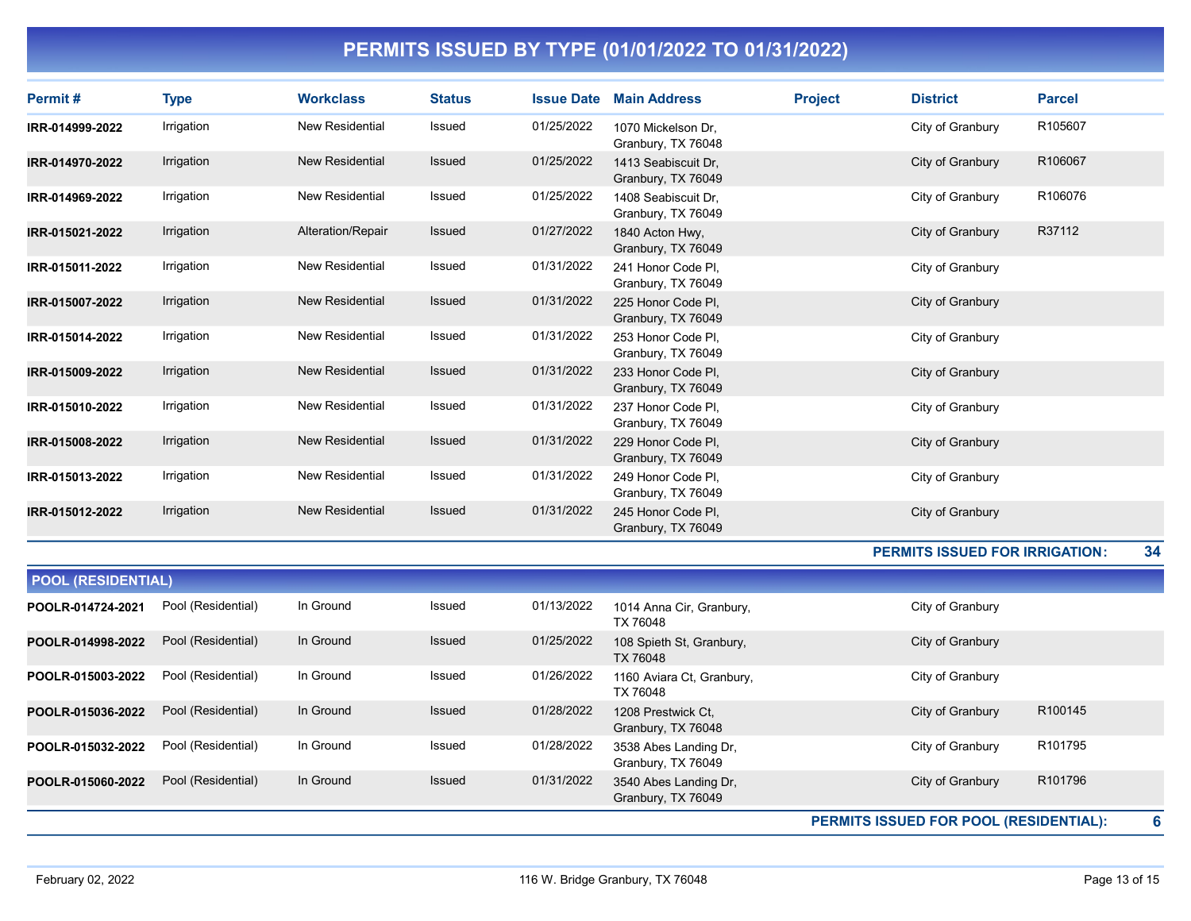| Permit#         | Type       | <b>Workclass</b>       | <b>Status</b> | <b>Issue Date</b> | <b>Main Address</b>                       | <b>Project</b> | <b>District</b>  | <b>Parcel</b> |
|-----------------|------------|------------------------|---------------|-------------------|-------------------------------------------|----------------|------------------|---------------|
| IRR-014999-2022 | Irrigation | New Residential        | Issued        | 01/25/2022        | 1070 Mickelson Dr.<br>Granbury, TX 76048  |                | City of Granbury | R105607       |
| IRR-014970-2022 | Irrigation | <b>New Residential</b> | Issued        | 01/25/2022        | 1413 Seabiscuit Dr.<br>Granbury, TX 76049 |                | City of Granbury | R106067       |
| IRR-014969-2022 | Irrigation | <b>New Residential</b> | <b>Issued</b> | 01/25/2022        | 1408 Seabiscuit Dr.<br>Granbury, TX 76049 |                | City of Granbury | R106076       |
| IRR-015021-2022 | Irrigation | Alteration/Repair      | <b>Issued</b> | 01/27/2022        | 1840 Acton Hwy.<br>Granbury, TX 76049     |                | City of Granbury | R37112        |
| IRR-015011-2022 | Irrigation | <b>New Residential</b> | Issued        | 01/31/2022        | 241 Honor Code Pl.<br>Granbury, TX 76049  |                | City of Granbury |               |
| IRR-015007-2022 | Irrigation | <b>New Residential</b> | Issued        | 01/31/2022        | 225 Honor Code Pl.<br>Granbury, TX 76049  |                | City of Granbury |               |
| IRR-015014-2022 | Irrigation | <b>New Residential</b> | <b>Issued</b> | 01/31/2022        | 253 Honor Code Pl,<br>Granbury, TX 76049  |                | City of Granbury |               |
| IRR-015009-2022 | Irrigation | <b>New Residential</b> | <b>Issued</b> | 01/31/2022        | 233 Honor Code Pl.<br>Granbury, TX 76049  |                | City of Granbury |               |
| IRR-015010-2022 | Irrigation | <b>New Residential</b> | <b>Issued</b> | 01/31/2022        | 237 Honor Code Pl.<br>Granbury, TX 76049  |                | City of Granbury |               |
| IRR-015008-2022 | Irrigation | <b>New Residential</b> | <b>Issued</b> | 01/31/2022        | 229 Honor Code Pl,<br>Granbury, TX 76049  |                | City of Granbury |               |
| IRR-015013-2022 | Irrigation | <b>New Residential</b> | <b>Issued</b> | 01/31/2022        | 249 Honor Code Pl,<br>Granbury, TX 76049  |                | City of Granbury |               |
| IRR-015012-2022 | Irrigation | <b>New Residential</b> | <b>Issued</b> | 01/31/2022        | 245 Honor Code Pl,<br>Granbury, TX 76049  |                | City of Granbury |               |

#### PERMITS ISSUED FOR IRRIGATION: 34

| <b>POOL (RESIDENTIAL)</b> |                    |           |               |            |                                             |                                             |                     |  |  |
|---------------------------|--------------------|-----------|---------------|------------|---------------------------------------------|---------------------------------------------|---------------------|--|--|
| POOLR-014724-2021         | Pool (Residential) | In Ground | Issued        | 01/13/2022 | 1014 Anna Cir, Granbury,<br>TX 76048        | City of Granbury                            |                     |  |  |
| POOLR-014998-2022         | Pool (Residential) | In Ground | <b>Issued</b> | 01/25/2022 | 108 Spieth St, Granbury,<br>TX 76048        | City of Granbury                            |                     |  |  |
| POOLR-015003-2022         | Pool (Residential) | In Ground | Issued        | 01/26/2022 | 1160 Aviara Ct, Granbury,<br>TX 76048       | City of Granbury                            |                     |  |  |
| POOLR-015036-2022         | Pool (Residential) | In Ground | <b>Issued</b> | 01/28/2022 | 1208 Prestwick Ct.<br>Granbury, TX 76048    | City of Granbury                            | R100145             |  |  |
| POOLR-015032-2022         | Pool (Residential) | In Ground | Issued        | 01/28/2022 | 3538 Abes Landing Dr.<br>Granbury, TX 76049 | City of Granbury                            | R <sub>101795</sub> |  |  |
| POOLR-015060-2022         | Pool (Residential) | In Ground | <b>Issued</b> | 01/31/2022 | 3540 Abes Landing Dr,<br>Granbury, TX 76049 | City of Granbury                            | R <sub>101796</sub> |  |  |
|                           |                    |           |               |            |                                             | 6<br>PERMITS ISSUED FOR POOL (RESIDENTIAL): |                     |  |  |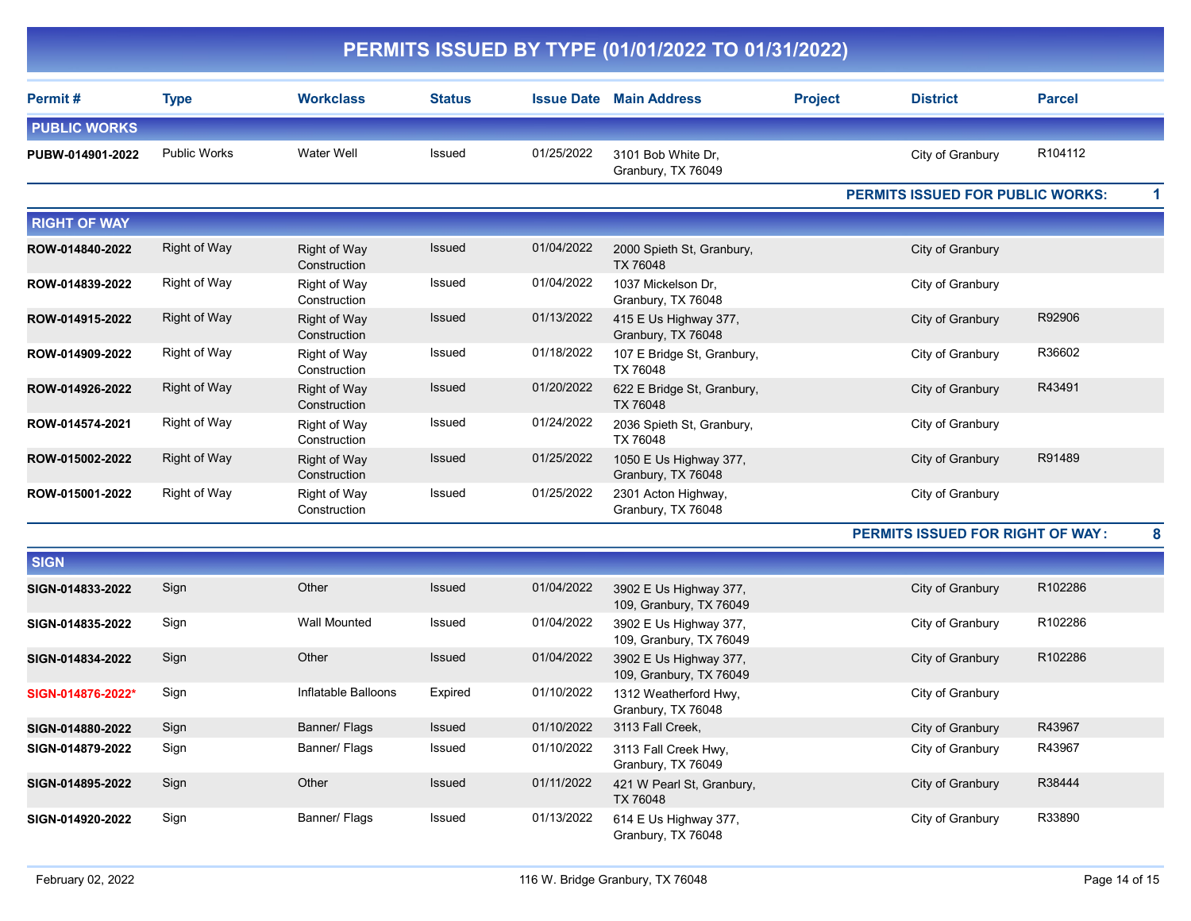| Permit#             | <b>Type</b>         | <b>Workclass</b>                    | <b>Status</b> |            | <b>Issue Date Main Address</b>                    | <b>Project</b> | <b>District</b>                  | <b>Parcel</b> |
|---------------------|---------------------|-------------------------------------|---------------|------------|---------------------------------------------------|----------------|----------------------------------|---------------|
| <b>PUBLIC WORKS</b> |                     |                                     |               |            |                                                   |                |                                  |               |
| PUBW-014901-2022    | <b>Public Works</b> | Water Well                          | Issued        | 01/25/2022 | 3101 Bob White Dr.<br>Granbury, TX 76049          |                | City of Granbury                 | R104112       |
|                     |                     |                                     |               |            |                                                   |                | PERMITS ISSUED FOR PUBLIC WORKS: | 1             |
| <b>RIGHT OF WAY</b> |                     |                                     |               |            |                                                   |                |                                  |               |
| ROW-014840-2022     | <b>Right of Way</b> | <b>Right of Way</b><br>Construction | Issued        | 01/04/2022 | 2000 Spieth St, Granbury,<br>TX 76048             |                | City of Granbury                 |               |
| ROW-014839-2022     | Right of Way        | Right of Way<br>Construction        | Issued        | 01/04/2022 | 1037 Mickelson Dr.<br>Granbury, TX 76048          |                | City of Granbury                 |               |
| ROW-014915-2022     | Right of Way        | <b>Right of Way</b><br>Construction | <b>Issued</b> | 01/13/2022 | 415 E Us Highway 377,<br>Granbury, TX 76048       |                | City of Granbury                 | R92906        |
| ROW-014909-2022     | Right of Way        | Right of Way<br>Construction        | Issued        | 01/18/2022 | 107 E Bridge St, Granbury,<br>TX 76048            |                | City of Granbury                 | R36602        |
| ROW-014926-2022     | <b>Right of Way</b> | Right of Way<br>Construction        | <b>Issued</b> | 01/20/2022 | 622 E Bridge St, Granbury,<br>TX 76048            |                | City of Granbury                 | R43491        |
| ROW-014574-2021     | Right of Way        | Right of Way<br>Construction        | Issued        | 01/24/2022 | 2036 Spieth St, Granbury,<br>TX 76048             |                | City of Granbury                 |               |
| ROW-015002-2022     | Right of Way        | <b>Right of Way</b><br>Construction | <b>Issued</b> | 01/25/2022 | 1050 E Us Highway 377,<br>Granbury, TX 76048      |                | City of Granbury                 | R91489        |
| ROW-015001-2022     | Right of Way        | Right of Way<br>Construction        | Issued        | 01/25/2022 | 2301 Acton Highway,<br>Granbury, TX 76048         |                | City of Granbury                 |               |
|                     |                     |                                     |               |            |                                                   |                | PERMITS ISSUED FOR RIGHT OF WAY: | 8             |
| <b>SIGN</b>         |                     |                                     |               |            |                                                   |                |                                  |               |
| SIGN-014833-2022    | Sign                | Other                               | <b>Issued</b> | 01/04/2022 | 3902 E Us Highway 377,<br>109, Granbury, TX 76049 |                | City of Granbury                 | R102286       |
| SIGN-014835-2022    | Sign                | <b>Wall Mounted</b>                 | Issued        | 01/04/2022 | 3902 E Us Highway 377,<br>109, Granbury, TX 76049 |                | City of Granbury                 | R102286       |
| SIGN-014834-2022    | Sign                | Other                               | Issued        | 01/04/2022 | 3902 E Us Highway 377,<br>109, Granbury, TX 76049 |                | City of Granbury                 | R102286       |
| SIGN-014876-2022*   | Sign                | Inflatable Balloons                 | Expired       | 01/10/2022 | 1312 Weatherford Hwy,<br>Granbury, TX 76048       |                | City of Granbury                 |               |
| SIGN-014880-2022    | Sign                | Banner/ Flags                       | Issued        | 01/10/2022 | 3113 Fall Creek,                                  |                | City of Granbury                 | R43967        |
| SIGN-014879-2022    | Sign                | Banner/ Flags                       | Issued        | 01/10/2022 | 3113 Fall Creek Hwy,<br>Granbury, TX 76049        |                | City of Granbury                 | R43967        |
| SIGN-014895-2022    | Sign                | Other                               | <b>Issued</b> | 01/11/2022 | 421 W Pearl St, Granbury,<br>TX 76048             |                | City of Granbury                 | R38444        |
| SIGN-014920-2022    | Sign                | Banner/ Flags                       | Issued        | 01/13/2022 | 614 E Us Highway 377,<br>Granbury, TX 76048       |                | City of Granbury                 | R33890        |